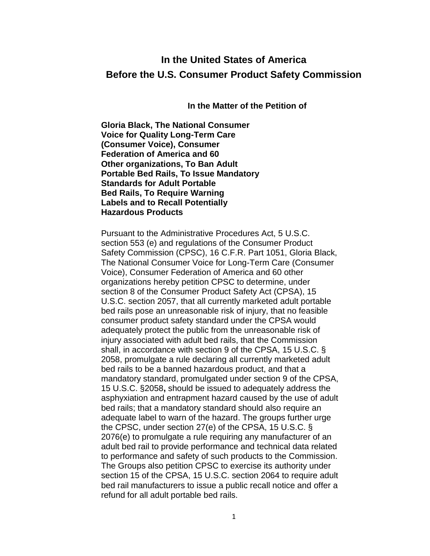# **In the United States of America Before the U.S. Consumer Product Safety Commission**

**In the Matter of the Petition of** 

**Gloria Black, The National Consumer Voice for Quality Long-Term Care (Consumer Voice), Consumer Federation of America and 60 Other organizations, To Ban Adult Portable Bed Rails, To Issue Mandatory Standards for Adult Portable Bed Rails, To Require Warning Labels and to Recall Potentially Hazardous Products**

Pursuant to the Administrative Procedures Act, 5 U.S.C. section 553 (e) and regulations of the Consumer Product Safety Commission (CPSC), 16 C.F.R. Part 1051, Gloria Black, The National Consumer Voice for Long-Term Care (Consumer Voice), Consumer Federation of America and 60 other organizations hereby petition CPSC to determine, under section 8 of the Consumer Product Safety Act (CPSA), 15 U.S.C. section 2057, that all currently marketed adult portable bed rails pose an unreasonable risk of injury, that no feasible consumer product safety standard under the CPSA would adequately protect the public from the unreasonable risk of injury associated with adult bed rails, that the Commission shall, in accordance with section 9 of the CPSA, 15 U.S.C. § 2058, promulgate a rule declaring all currently marketed adult bed rails to be a banned hazardous product, and that a mandatory standard, promulgated under section 9 of the CPSA, 15 U.S.C. §2058**,** should be issued to adequately address the asphyxiation and entrapment hazard caused by the use of adult bed rails; that a mandatory standard should also require an adequate label to warn of the hazard. The groups further urge the CPSC, under section 27(e) of the CPSA, 15 U.S.C. § 2076(e) to promulgate a rule requiring any manufacturer of an adult bed rail to provide performance and technical data related to performance and safety of such products to the Commission. The Groups also petition CPSC to exercise its authority under section 15 of the CPSA, 15 U.S.C. section 2064 to require adult bed rail manufacturers to issue a public recall notice and offer a refund for all adult portable bed rails.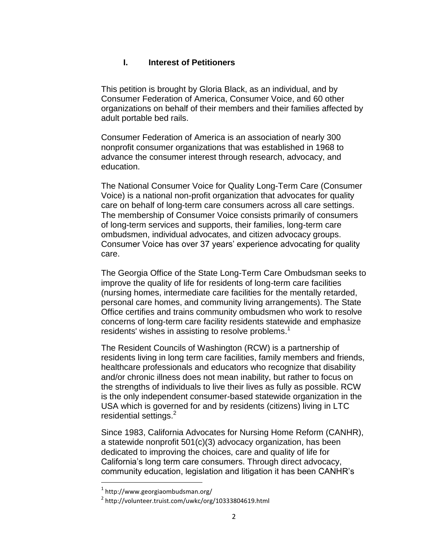# **I. Interest of Petitioners**

This petition is brought by Gloria Black, as an individual, and by Consumer Federation of America, Consumer Voice, and 60 other organizations on behalf of their members and their families affected by adult portable bed rails.

Consumer Federation of America is an association of nearly 300 nonprofit consumer organizations that was established in 1968 to advance the consumer interest through research, advocacy, and education.

The National Consumer Voice for Quality Long-Term Care (Consumer Voice) is a national non-profit organization that advocates for quality care on behalf of long-term care consumers across all care settings. The membership of Consumer Voice consists primarily of consumers of long-term services and supports, their families, long-term care ombudsmen, individual advocates, and citizen advocacy groups. Consumer Voice has over 37 years' experience advocating for quality care.

The Georgia Office of the State Long-Term Care Ombudsman seeks to improve the quality of life for residents of long-term care facilities (nursing homes, intermediate care facilities for the mentally retarded, personal care homes, and community living arrangements). The State Office certifies and trains community ombudsmen who work to resolve concerns of long-term care facility residents statewide and emphasize residents' wishes in assisting to resolve problems.<sup>1</sup>

The Resident Councils of Washington (RCW) is a partnership of residents living in long term care facilities, family members and friends, healthcare professionals and educators who recognize that disability and/or chronic illness does not mean inability, but rather to focus on the strengths of individuals to live their lives as fully as possible. RCW is the only independent consumer-based statewide organization in the USA which is governed for and by residents (citizens) living in LTC residential settings.<sup>2</sup>

Since 1983, California Advocates for Nursing Home Reform (CANHR), a statewide nonprofit 501(c)(3) advocacy organization, has been dedicated to improving the choices, care and quality of life for California's long term care consumers. Through direct advocacy, community education, legislation and litigation it has been CANHR's

 $^1$  http://www.georgiaombudsman.org/

<sup>2</sup> http://volunteer.truist.com/uwkc/org/10333804619.html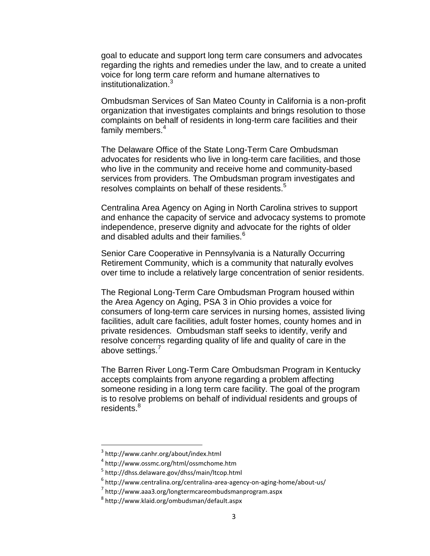goal to educate and support long term care consumers and advocates regarding the rights and remedies under the law, and to create a united voice for long term care reform and humane alternatives to institutionalization.<sup>3</sup>

Ombudsman Services of San Mateo County in California is a non-profit organization that investigates complaints and brings resolution to those complaints on behalf of residents in long-term care facilities and their family members.<sup>4</sup>

The Delaware Office of the State Long-Term Care Ombudsman advocates for residents who live in long-term care facilities, and those who live in the community and receive home and community-based services from providers. The Ombudsman program investigates and resolves complaints on behalf of these residents.<sup>5</sup>

Centralina Area Agency on Aging in North Carolina strives to support and enhance the capacity of service and advocacy systems to promote independence, preserve dignity and advocate for the rights of older and disabled adults and their families. $6$ 

Senior Care Cooperative in Pennsylvania is a Naturally Occurring Retirement Community, which is a community that naturally evolves over time to include a relatively large concentration of senior residents.

The Regional Long-Term Care Ombudsman Program housed within the Area Agency on Aging, PSA 3 in Ohio provides a voice for consumers of long-term care services in nursing homes, assisted living facilities, adult care facilities, adult foster homes, county homes and in private residences. Ombudsman staff seeks to identify, verify and resolve concerns regarding quality of life and quality of care in the above settings.

The Barren River Long-Term Care Ombudsman Program in Kentucky accepts complaints from anyone regarding a problem affecting someone residing in a long term care facility. The goal of the program is to resolve problems on behalf of individual residents and groups of residents.<sup>8</sup>

<sup>3</sup> http://www.canhr.org/about/index.html

<sup>4</sup> http://www.ossmc.org/html/ossmchome.htm

<sup>&</sup>lt;sup>5</sup> http://dhss.delaware.gov/dhss/main/ltcop.html

<sup>&</sup>lt;sup>6</sup> http://www.centralina.org/centralina-area-agency-on-aging-home/about-us/

<sup>&</sup>lt;sup>7</sup>http://www.aaa3.org/longtermcareombudsmanprogram.aspx

<sup>8</sup> http://www.klaid.org/ombudsman/default.aspx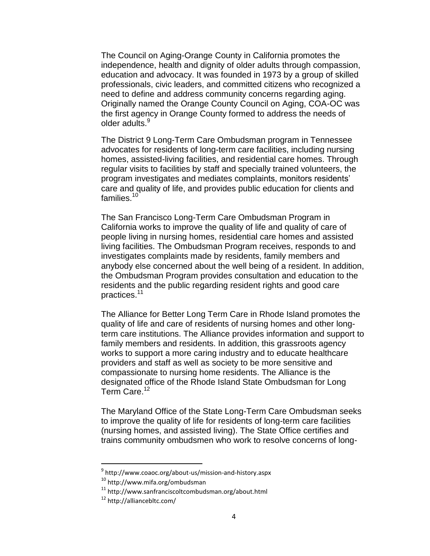The Council on Aging-Orange County in California promotes the independence, health and dignity of older adults through compassion, education and advocacy. It was founded in 1973 by a group of skilled professionals, civic leaders, and committed citizens who recognized a need to define and address community concerns regarding aging. Originally named the Orange County Council on Aging, COA-OC was the first agency in Orange County formed to address the needs of older adults.<sup>9</sup>

The District 9 Long-Term Care Ombudsman program in Tennessee advocates for residents of long-term care facilities, including nursing homes, assisted-living facilities, and residential care homes. Through regular visits to facilities by staff and specially trained volunteers, the program investigates and mediates complaints, monitors residents' care and quality of life, and provides public education for clients and families.<sup>10</sup>

The San Francisco Long-Term Care Ombudsman Program in California works to improve the quality of life and quality of care of people living in nursing homes, residential care homes and assisted living facilities. The Ombudsman Program receives, responds to and investigates complaints made by residents, family members and anybody else concerned about the well being of a resident. In addition, the Ombudsman Program provides consultation and education to the residents and the public regarding resident rights and good care practices.<sup>11</sup>

The Alliance for Better Long Term Care in Rhode Island promotes the quality of life and care of residents of nursing homes and other longterm care institutions. The Alliance provides information and support to family members and residents. In addition, this grassroots agency works to support a more caring industry and to educate healthcare providers and staff as well as society to be more sensitive and compassionate to nursing home residents. The Alliance is the designated office of the Rhode Island State Ombudsman for Long Term Care.<sup>12</sup>

The Maryland Office of the State Long-Term Care Ombudsman seeks to improve the quality of life for residents of long-term care facilities (nursing homes, and assisted living). The State Office certifies and trains community ombudsmen who work to resolve concerns of long-

<sup>&</sup>lt;sup>9</sup> http://www.coaoc.org/about-us/mission-and-history.aspx

<sup>10</sup> http://www.mifa.org/ombudsman

<sup>11</sup> http://www.sanfranciscoltcombudsman.org/about.html

<sup>12</sup> http://alliancebltc.com/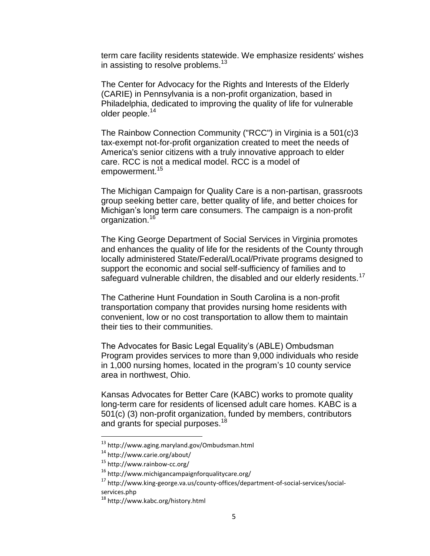term care facility residents statewide. We emphasize residents' wishes in assisting to resolve problems. $13$ 

The Center for Advocacy for the Rights and Interests of the Elderly (CARIE) in Pennsylvania is a non-profit organization, based in Philadelphia, dedicated to improving the quality of life for vulnerable older people.<sup>14</sup>

The Rainbow Connection Community ("RCC") in Virginia is a 501(c)3 tax-exempt not-for-profit organization created to meet the needs of America's senior citizens with a truly innovative approach to elder care. RCC is not a medical model. RCC is a model of empowerment.<sup>15</sup>

The Michigan Campaign for Quality Care is a non-partisan, grassroots group seeking better care, better quality of life, and better choices for Michigan's long term care consumers. The campaign is a non-profit organization.<sup>16</sup>

The King George Department of Social Services in Virginia promotes and enhances the quality of life for the residents of the County through locally administered State/Federal/Local/Private programs designed to support the economic and social self-sufficiency of families and to safeguard vulnerable children, the disabled and our elderly residents.<sup>17</sup>

The Catherine Hunt Foundation in South Carolina is a non-profit transportation company that provides nursing home residents with convenient, low or no cost transportation to allow them to maintain their ties to their communities.

The Advocates for Basic Legal Equality's (ABLE) Ombudsman Program provides services to more than 9,000 individuals who reside in 1,000 nursing homes, located in the program's 10 county service area in northwest, Ohio.

Kansas Advocates for Better Care (KABC) works to promote quality long-term care for residents of licensed adult care homes. KABC is a 501(c) (3) non-profit organization, funded by members, contributors and grants for special purposes.<sup>18</sup>

<sup>13</sup> http://www.aging.maryland.gov/Ombudsman.html

<sup>14</sup> http://www.carie.org/about/

<sup>15</sup> http://www.rainbow-cc.org/

<sup>16</sup> http://www.michigancampaignforqualitycare.org/

<sup>17</sup> http://www.king-george.va.us/county-offices/department-of-social-services/socialservices.php

<sup>18</sup> http://www.kabc.org/history.html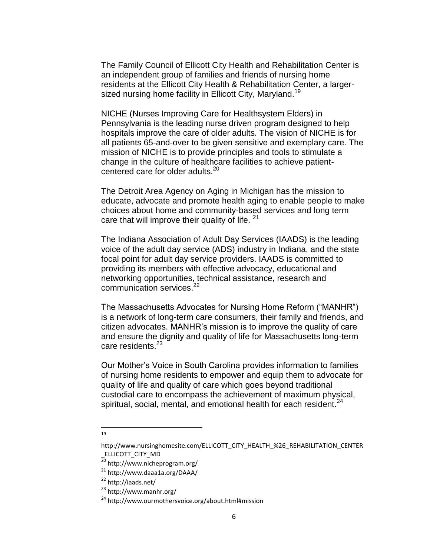The Family Council of Ellicott City Health and Rehabilitation Center is an independent group of families and friends of nursing home residents at the Ellicott City Health & Rehabilitation Center, a largersized nursing home facility in Ellicott City, Maryland.<sup>19</sup>

NICHE (Nurses Improving Care for Healthsystem Elders) in Pennsylvania is the leading nurse driven program designed to help hospitals improve the care of older adults. The vision of NICHE is for all patients 65-and-over to be given sensitive and exemplary care. The mission of NICHE is to provide principles and tools to stimulate a change in the culture of healthcare facilities to achieve patientcentered care for older adults.<sup>20</sup>

The Detroit Area Agency on Aging in Michigan has the mission to educate, advocate and promote health aging to enable people to make choices about home and community-based services and long term care that will improve their quality of life. <sup>21</sup>

The Indiana Association of Adult Day Services (IAADS) is the leading voice of the adult day service (ADS) industry in Indiana, and the state focal point for adult day service providers. IAADS is committed to providing its members with effective advocacy, educational and networking opportunities, technical assistance, research and communication services.<sup>22</sup>

The Massachusetts Advocates for Nursing Home Reform ("MANHR") is a network of long-term care consumers, their family and friends, and citizen advocates. MANHR's mission is to improve the quality of care and ensure the dignity and quality of life for Massachusetts long-term care residents.<sup>23</sup>

Our Mother's Voice in South Carolina provides information to families of nursing home residents to empower and equip them to advocate for quality of life and quality of care which goes beyond traditional custodial care to encompass the achievement of maximum physical, spiritual, social, mental, and emotional health for each resident.<sup>24</sup>

<sup>-&</sup>lt;br>19

http://www.nursinghomesite.com/ELLICOTT\_CITY\_HEALTH\_%26\_REHABILITATION\_CENTER ELLICOTT\_CITY\_MD

 $20$  http://www.nicheprogram.org/

<sup>21</sup> http://www.daaa1a.org/DAAA/

<sup>22</sup> http://iaads.net/

<sup>23</sup> http://www.manhr.org/

<sup>24</sup> http://www.ourmothersvoice.org/about.html#mission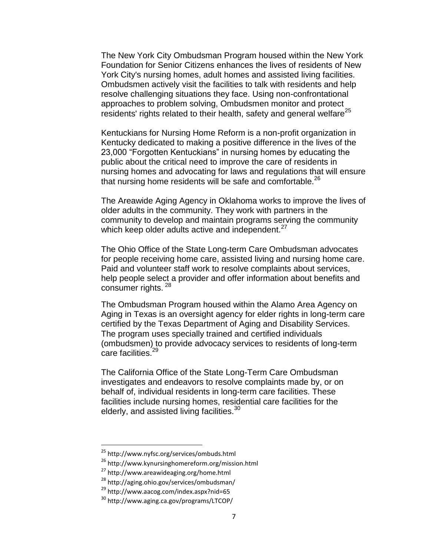The New York City Ombudsman Program housed within the New York Foundation for Senior Citizens enhances the lives of residents of New York City's nursing homes, adult homes and assisted living facilities. Ombudsmen actively visit the facilities to talk with residents and help resolve challenging situations they face. Using non-confrontational approaches to problem solving, Ombudsmen monitor and protect residents' rights related to their health, safety and general welfare<sup>25</sup>

Kentuckians for Nursing Home Reform is a non-profit organization in Kentucky dedicated to making a positive difference in the lives of the 23,000 "Forgotten Kentuckians" in nursing homes by educating the public about the critical need to improve the care of residents in nursing homes and advocating for laws and regulations that will ensure that nursing home residents will be safe and comfortable. $26$ 

The Areawide Aging Agency in Oklahoma works to improve the lives of older adults in the community. They work with partners in the community to develop and maintain programs serving the community which keep older adults active and independent.<sup>27</sup>

The Ohio Office of the State Long-term Care Ombudsman advocates for people receiving home care, assisted living and nursing home care. Paid and volunteer staff work to resolve complaints about services, help people select a provider and offer information about benefits and consumer rights.<sup>28</sup>

The Ombudsman Program housed within the Alamo Area Agency on Aging in Texas is an oversight agency for elder rights in long-term care certified by the Texas Department of Aging and Disability Services. The program uses specially trained and certified individuals (ombudsmen) to provide advocacy services to residents of long-term care facilities.<sup>29</sup>

The California Office of the State Long-Term Care Ombudsman investigates and endeavors to resolve complaints made by, or on behalf of, individual residents in long-term care facilities. These facilities include nursing homes, residential care facilities for the elderly, and assisted living facilities. $30$ 

<sup>25</sup> http://www.nyfsc.org/services/ombuds.html

<sup>26</sup> http://www.kynursinghomereform.org/mission.html

<sup>27</sup> http://www.areawideaging.org/home.html

<sup>28</sup> http://aging.ohio.gov/services/ombudsman/

<sup>29</sup> http://www.aacog.com/index.aspx?nid=65

<sup>30</sup> http://www.aging.ca.gov/programs/LTCOP/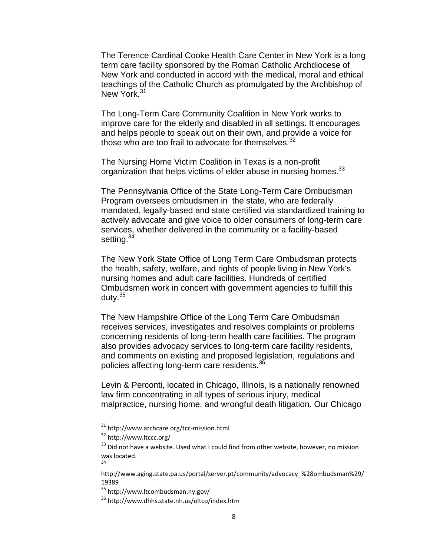The Terence Cardinal Cooke Health Care Center in New York is a long term care facility sponsored by the Roman Catholic Archdiocese of New York and conducted in accord with the medical, moral and ethical teachings of the Catholic Church as promulgated by the Archbishop of New York.<sup>31</sup>

The Long-Term Care Community Coalition in New York works to improve care for the elderly and disabled in all settings. It encourages and helps people to speak out on their own, and provide a voice for those who are too frail to advocate for themselves.  $32$ 

The Nursing Home Victim Coalition in Texas is a non-profit organization that helps victims of elder abuse in nursing homes.<sup>33</sup>

The Pennsylvania Office of the State Long-Term Care Ombudsman Program oversees ombudsmen in the state, who are federally mandated, legally-based and state certified via standardized training to actively advocate and give voice to older consumers of long-term care services, whether delivered in the community or a facility-based setting.<sup>34</sup>

The New York State Office of Long Term Care Ombudsman protects the health, safety, welfare, and rights of people living in New York's nursing homes and adult care facilities. Hundreds of certified Ombudsmen work in concert with government agencies to fulfill this duty.<sup>35</sup>

The New Hampshire Office of the Long Term Care Ombudsman receives services, investigates and resolves complaints or problems concerning residents of long-term health care facilities. The program also provides advocacy services to long-term care facility residents, and comments on existing and proposed legislation, regulations and policies affecting long-term care residents.<sup>36</sup>

Levin & Perconti, located in Chicago, Illinois, is a nationally renowned law firm concentrating in all types of serious injury, medical malpractice, nursing home, and wrongful death litigation. Our Chicago

<sup>31</sup> http://www.archcare.org/tcc-mission.html

<sup>32</sup> http://www.ltccc.org/

 $33$  Did not have a website. Used what I could find from other website, however, no mission was located. 34

http://www.aging.state.pa.us/portal/server.pt/community/advocacy\_%28ombudsman%29/ 19389

<sup>35</sup> http://www.ltcombudsman.ny.gov/

<sup>36</sup> http://www.dhhs.state.nh.us/oltco/index.htm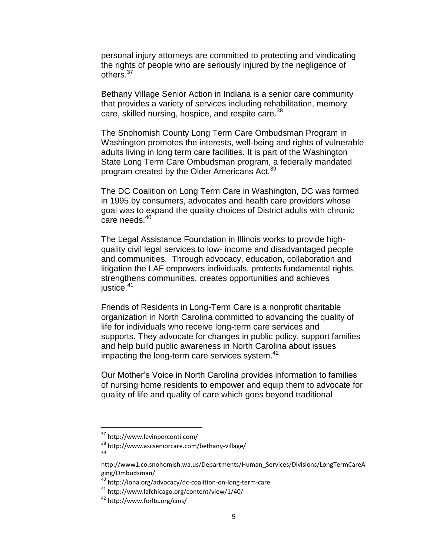personal injury attorneys are committed to protecting and vindicating the rights of people who are seriously injured by the negligence of others.<sup>37</sup>

Bethany Village Senior Action in Indiana is a senior care community that provides a variety of services including rehabilitation, memory care, skilled nursing, hospice, and respite care.<sup>38</sup>

The Snohomish County Long Term Care Ombudsman Program in Washington promotes the interests, well-being and rights of vulnerable adults living in long term care facilities. It is part of the Washington State Long Term Care Ombudsman program, a federally mandated program created by the Older Americans Act.<sup>39</sup>

The DC Coalition on Long Term Care in Washington, DC was formed in 1995 by consumers, advocates and health care providers whose goal was to expand the quality choices of District adults with chronic care needs. $40<sup>40</sup>$ 

The Legal Assistance Foundation in Illinois works to provide highquality civil legal services to low- income and disadvantaged people and communities. Through advocacy, education, collaboration and litigation the LAF empowers individuals, protects fundamental rights, strengthens communities, creates opportunities and achieves iustice. $41$ 

Friends of Residents in Long-Term Care is a nonprofit charitable organization in North Carolina committed to advancing the quality of life for individuals who receive long-term care services and supports. They advocate for changes in public policy, support families and help build public awareness in North Carolina about issues impacting the long-term care services system. $42$ 

Our Mother's Voice in North Carolina provides information to families of nursing home residents to empower and equip them to advocate for quality of life and quality of care which goes beyond traditional

39

<sup>37</sup> http://www.levinperconti.com/

<sup>38</sup> http://www.ascseniorcare.com/bethany-village/

http://www1.co.snohomish.wa.us/Departments/Human\_Services/Divisions/LongTermCareA ging/Ombudsman/

<sup>40</sup> http://iona.org/advocacy/dc-coalition-on-long-term-care

<sup>41</sup> http://www.lafchicago.org/content/view/1/40/

<sup>42</sup> http://www.forltc.org/cms/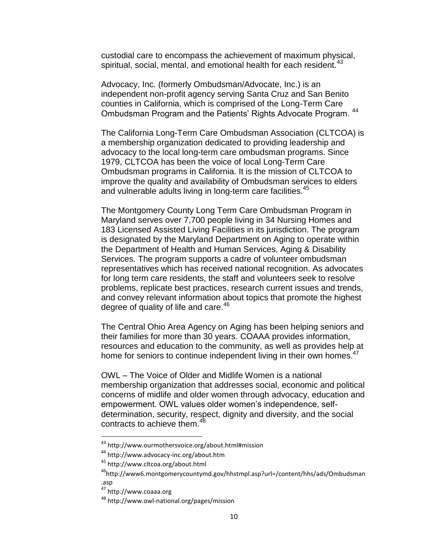custodial care to encompass the achievement of maximum physical, spiritual, social, mental, and emotional health for each resident.<sup>43</sup>

Advocacy, Inc. (formerly Ombudsman/Advocate, Inc.) is an independent non-profit agency serving Santa Cruz and San Benito counties in California, which is comprised of the Long-Term Care Ombudsman Program and the Patients' Rights Advocate Program. <sup>44</sup>

The California Long-Term Care Ombudsman Association (CLTCOA) is a membership organization dedicated to providing leadership and advocacy to the local long-term care ombudsman programs. Since 1979, CLTCOA has been the voice of local Long-Term Care Ombudsman programs in California. It is the mission of CLTCOA to improve the quality and availability of Ombudsman services to elders and vulnerable adults living in long-term care facilities.<sup>45</sup>

The Montgomery County Long Term Care Ombudsman Program in Maryland serves over 7,700 people living in 34 Nursing Homes and 183 Licensed Assisted Living Facilities in its jurisdiction. The program is designated by the Maryland Department on Aging to operate within the Department of Health and Human Services, Aging & Disability Services. The program supports a cadre of volunteer ombudsman representatives which has received national recognition. As advocates for long term care residents, the staff and volunteers seek to resolve problems, replicate best practices, research current issues and trends, and convey relevant information about topics that promote the highest degree of quality of life and care.<sup>46</sup>

The Central Ohio Area Agency on Aging has been helping seniors and their families for more than 30 years. COAAA provides information, resources and education to the community, as well as provides help at home for seniors to continue independent living in their own homes.<sup>47</sup>

OWL – The Voice of Older and Midlife Women is a national membership organization that addresses social, economic and political concerns of midlife and older women through advocacy, education and empowerment. OWL values older women's independence, selfdetermination, security, respect, dignity and diversity, and the social contracts to achieve them.<sup>48</sup>

<sup>43</sup> http://www.ourmothersvoice.org/about.html#mission

<sup>44</sup> http://www.advocacy-inc.org/about.htm

<sup>45</sup> http://www.cltcoa.org/about.html

<sup>46</sup>http://www6.montgomerycountymd.gov/hhstmpl.asp?url=/content/hhs/ads/Ombudsman .asp

<sup>47</sup> http://www.coaaa.org

<sup>48</sup> http://www.owl-national.org/pages/mission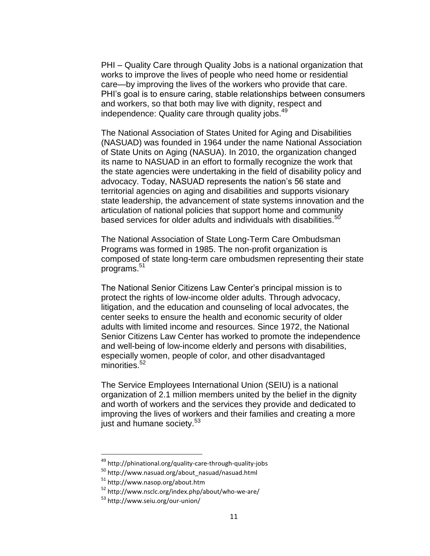PHI – Quality Care through Quality Jobs is a national organization that works to improve the lives of people who need home or residential care—by improving the lives of the workers who provide that care. PHI's goal is to ensure caring, stable relationships between consumers and workers, so that both may live with dignity, respect and independence: Quality care through quality jobs.<sup>49</sup>

The National Association of States United for Aging and Disabilities (NASUAD) was founded in 1964 under the name National Association of State Units on Aging (NASUA). In 2010, the organization changed its name to NASUAD in an effort to formally recognize the work that the state agencies were undertaking in the field of disability policy and advocacy. Today, NASUAD represents the nation's 56 state and territorial agencies on aging and disabilities and supports visionary state leadership, the advancement of state systems innovation and the articulation of national policies that support home and community based services for older adults and individuals with disabilities.<sup>50</sup>

The National Association of State Long-Term Care Ombudsman Programs was formed in 1985. The non-profit organization is composed of state long-term care ombudsmen representing their state programs.<sup>51</sup>

The National Senior Citizens Law Center's principal mission is to protect the rights of low-income older adults. Through advocacy, litigation, and the education and counseling of local advocates, the center seeks to ensure the health and economic security of older adults with limited income and resources. Since 1972, the National Senior Citizens Law Center has worked to promote the independence and well-being of low-income elderly and persons with disabilities, especially women, people of color, and other disadvantaged minorities.<sup>52</sup>

The Service Employees International Union (SEIU) is a national organization of 2.1 million members united by the belief in the dignity and worth of workers and the services they provide and dedicated to improving the lives of workers and their families and creating a more just and humane society.<sup>53</sup>

<sup>49</sup> http://phinational.org/quality-care-through-quality-jobs

<sup>50</sup> http://www.nasuad.org/about\_nasuad/nasuad.html

<sup>51</sup> http://www.nasop.org/about.htm

<sup>52</sup> http://www.nsclc.org/index.php/about/who-we-are/

<sup>53</sup> http://www.seiu.org/our-union/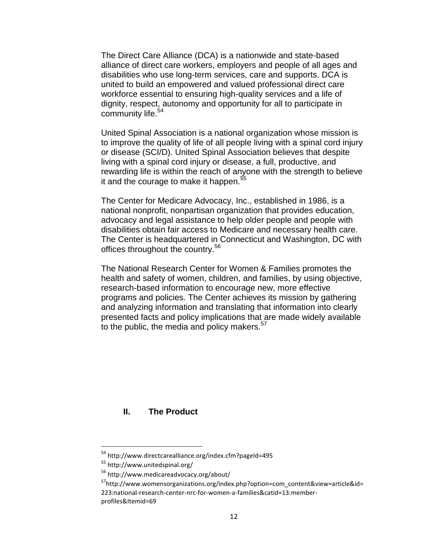The Direct Care Alliance (DCA) is a nationwide and state-based alliance of direct care workers, employers and people of all ages and disabilities who use long-term services, care and supports. DCA is united to build an empowered and valued professional direct care workforce essential to ensuring high-quality services and a life of dignity, respect, autonomy and opportunity for all to participate in community life.<sup>54</sup>

United Spinal Association is a national organization whose mission is to improve the quality of life of all people living with a spinal cord injury or disease (SCI/D). United Spinal Association believes that despite living with a spinal cord injury or disease, a full, productive, and rewarding life is within the reach of anyone with the strength to believe it and the courage to make it happen.<sup>55</sup>

The Center for Medicare Advocacy, Inc., established in 1986, is a national nonprofit, nonpartisan organization that provides education, advocacy and legal assistance to help older people and people with disabilities obtain fair access to Medicare and necessary health care. The Center is headquartered in Connecticut and Washington, DC with offices throughout the country.<sup>56</sup>

The National Research Center for Women & Families promotes the health and safety of women, children, and families, by using objective, research-based information to encourage new, more effective programs and policies. The Center achieves its mission by gathering and analyzing information and translating that information into clearly presented facts and policy implications that are made widely available to the public, the media and policy makers. $57$ 

## **II. The Product**

<sup>54</sup> http://www.directcarealliance.org/index.cfm?pageId=495

<sup>55</sup> http://www.unitedspinal.org/

<sup>56</sup> http://www.medicareadvocacy.org/about/

<sup>57</sup>http://www.womensorganizations.org/index.php?option=com\_content&view=article&id= 223:national-research-center-nrc-for-women-a-families&catid=13:member-

profiles&Itemid=69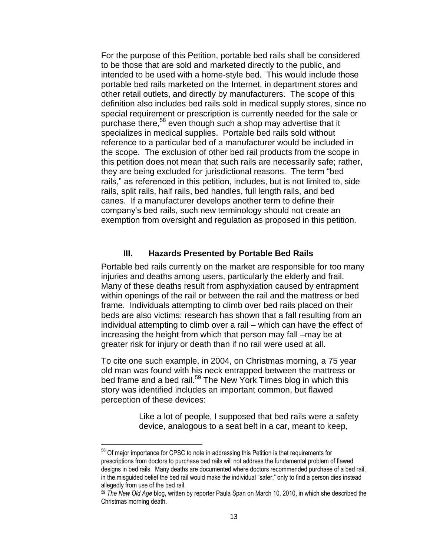For the purpose of this Petition, portable bed rails shall be considered to be those that are sold and marketed directly to the public, and intended to be used with a home-style bed. This would include those portable bed rails marketed on the Internet, in department stores and other retail outlets, and directly by manufacturers. The scope of this definition also includes bed rails sold in medical supply stores, since no special requirement or prescription is currently needed for the sale or purchase there,<sup>58</sup> even though such a shop may advertise that it specializes in medical supplies. Portable bed rails sold without reference to a particular bed of a manufacturer would be included in the scope. The exclusion of other bed rail products from the scope in this petition does not mean that such rails are necessarily safe; rather, they are being excluded for jurisdictional reasons. The term "bed rails," as referenced in this petition, includes, but is not limited to, side rails, split rails, half rails, bed handles, full length rails, and bed canes. If a manufacturer develops another term to define their company's bed rails, such new terminology should not create an exemption from oversight and regulation as proposed in this petition.

### **III. Hazards Presented by Portable Bed Rails**

Portable bed rails currently on the market are responsible for too many injuries and deaths among users, particularly the elderly and frail. Many of these deaths result from asphyxiation caused by entrapment within openings of the rail or between the rail and the mattress or bed frame. Individuals attempting to climb over bed rails placed on their beds are also victims: research has shown that a fall resulting from an individual attempting to climb over a rail – which can have the effect of increasing the height from which that person may fall –may be at greater risk for injury or death than if no rail were used at all.

To cite one such example, in 2004, on Christmas morning, a 75 year old man was found with his neck entrapped between the mattress or bed frame and a bed rail.<sup>59</sup> The New York Times blog in which this story was identified includes an important common, but flawed perception of these devices:

> Like a lot of people, I supposed that bed rails were a safety device, analogous to a seat belt in a car, meant to keep,

<sup>&</sup>lt;sup>58</sup> Of major importance for CPSC to note in addressing this Petition is that requirements for prescriptions from doctors to purchase bed rails will not address the fundamental problem of flawed designs in bed rails. Many deaths are documented where doctors recommended purchase of a bed rail, in the misguided belief the bed rail would make the individual "safer," only to find a person dies instead allegedly from use of the bed rail.

<sup>59</sup> *The New Old Age* blog, written by reporter Paula Span on March 10, 2010, in which she described the Christmas morning death.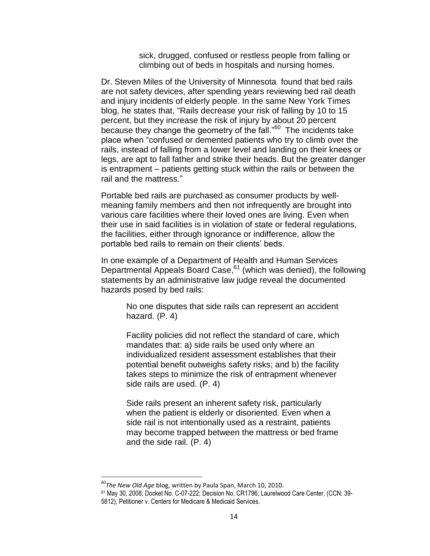sick, drugged, confused or restless people from falling or climbing out of beds in hospitals and nursing homes.

Dr. Steven Miles of the University of Minnesota found that bed rails are not safety devices, after spending years reviewing bed rail death and injury incidents of elderly people. In the same New York Times blog, he states that, "Rails decrease your risk of falling by 10 to 15 percent, but they increase the risk of injury by about 20 percent because they change the geometry of the fall." $60$  The incidents take place when "confused or demented patients who try to climb over the rails, instead of falling from a lower level and landing on their knees or legs, are apt to fall father and strike their heads. But the greater danger is entrapment – patients getting stuck within the rails or between the rail and the mattress."

Portable bed rails are purchased as consumer products by wellmeaning family members and then not infrequently are brought into various care facilities where their loved ones are living. Even when their use in said facilities is in violation of state or federal regulations, the facilities, either through ignorance or indifference, allow the portable bed rails to remain on their clients' beds.

In one example of a Department of Health and Human Services Departmental Appeals Board Case, $61$  (which was denied), the following statements by an administrative law judge reveal the documented hazards posed by bed rails:

No one disputes that side rails can represent an accident hazard. (P. 4)

Facility policies did not reflect the standard of care, which mandates that: a) side rails be used only where an individualized resident assessment establishes that their potential benefit outweighs safety risks; and b) the facility takes steps to minimize the risk of entrapment whenever side rails are used. (P. 4)

Side rails present an inherent safety risk, particularly when the patient is elderly or disoriented. Even when a side rail is not intentionally used as a restraint, patients may become trapped between the mattress or bed frame and the side rail. (P. 4)

*<sup>60</sup>The New Old Age* blog, written by Paula Span, March 10, 2010.

<sup>61</sup> May 30, 2008; Docket No. C-07-222; Decision No. CR1796; Laurelwood Care Center, (CCN: 39- 5812), Petitioner v. Centers for Medicare & Medicaid Services.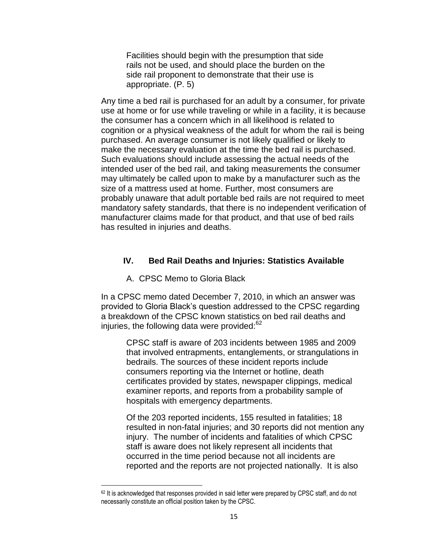Facilities should begin with the presumption that side rails not be used, and should place the burden on the side rail proponent to demonstrate that their use is appropriate. (P. 5)

Any time a bed rail is purchased for an adult by a consumer, for private use at home or for use while traveling or while in a facility, it is because the consumer has a concern which in all likelihood is related to cognition or a physical weakness of the adult for whom the rail is being purchased. An average consumer is not likely qualified or likely to make the necessary evaluation at the time the bed rail is purchased. Such evaluations should include assessing the actual needs of the intended user of the bed rail, and taking measurements the consumer may ultimately be called upon to make by a manufacturer such as the size of a mattress used at home. Further, most consumers are probably unaware that adult portable bed rails are not required to meet mandatory safety standards, that there is no independent verification of manufacturer claims made for that product, and that use of bed rails has resulted in injuries and deaths.

# **IV. Bed Rail Deaths and Injuries: Statistics Available**

A. CPSC Memo to Gloria Black

 $\overline{a}$ 

In a CPSC memo dated December 7, 2010, in which an answer was provided to Gloria Black's question addressed to the CPSC regarding a breakdown of the CPSC known statistics on bed rail deaths and injuries, the following data were provided: $62$ 

CPSC staff is aware of 203 incidents between 1985 and 2009 that involved entrapments, entanglements, or strangulations in bedrails. The sources of these incident reports include consumers reporting via the Internet or hotline, death certificates provided by states, newspaper clippings, medical examiner reports, and reports from a probability sample of hospitals with emergency departments.

Of the 203 reported incidents, 155 resulted in fatalities; 18 resulted in non-fatal injuries; and 30 reports did not mention any injury. The number of incidents and fatalities of which CPSC staff is aware does not likely represent all incidents that occurred in the time period because not all incidents are reported and the reports are not projected nationally. It is also

<sup>&</sup>lt;sup>62</sup> It is acknowledged that responses provided in said letter were prepared by CPSC staff, and do not necessarily constitute an official position taken by the CPSC.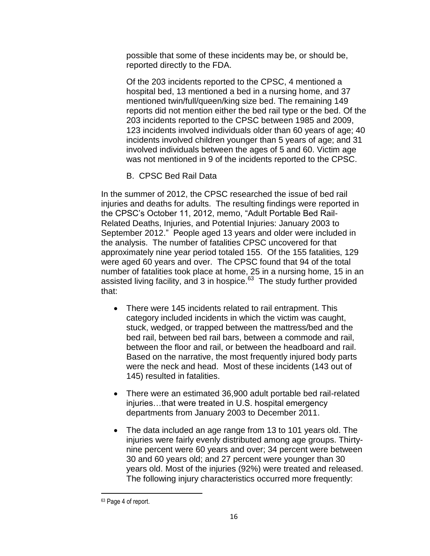possible that some of these incidents may be, or should be, reported directly to the FDA.

Of the 203 incidents reported to the CPSC, 4 mentioned a hospital bed, 13 mentioned a bed in a nursing home, and 37 mentioned twin/full/queen/king size bed. The remaining 149 reports did not mention either the bed rail type or the bed. Of the 203 incidents reported to the CPSC between 1985 and 2009, 123 incidents involved individuals older than 60 years of age; 40 incidents involved children younger than 5 years of age; and 31 involved individuals between the ages of 5 and 60. Victim age was not mentioned in 9 of the incidents reported to the CPSC.

B. CPSC Bed Rail Data

In the summer of 2012, the CPSC researched the issue of bed rail injuries and deaths for adults. The resulting findings were reported in the CPSC's October 11, 2012, memo, "Adult Portable Bed Rail-Related Deaths, Injuries, and Potential Injuries: January 2003 to September 2012." People aged 13 years and older were included in the analysis. The number of fatalities CPSC uncovered for that approximately nine year period totaled 155. Of the 155 fatalities, 129 were aged 60 years and over. The CPSC found that 94 of the total number of fatalities took place at home, 25 in a nursing home, 15 in an assisted living facility, and 3 in hospice.<sup>63</sup> The study further provided that:

- There were 145 incidents related to rail entrapment. This category included incidents in which the victim was caught, stuck, wedged, or trapped between the mattress/bed and the bed rail, between bed rail bars, between a commode and rail, between the floor and rail, or between the headboard and rail. Based on the narrative, the most frequently injured body parts were the neck and head. Most of these incidents (143 out of 145) resulted in fatalities.
- There were an estimated 36,900 adult portable bed rail-related injuries…that were treated in U.S. hospital emergency departments from January 2003 to December 2011.
- The data included an age range from 13 to 101 years old. The injuries were fairly evenly distributed among age groups. Thirtynine percent were 60 years and over; 34 percent were between 30 and 60 years old; and 27 percent were younger than 30 years old. Most of the injuries (92%) were treated and released. The following injury characteristics occurred more frequently:

<sup>63</sup> Page 4 of report.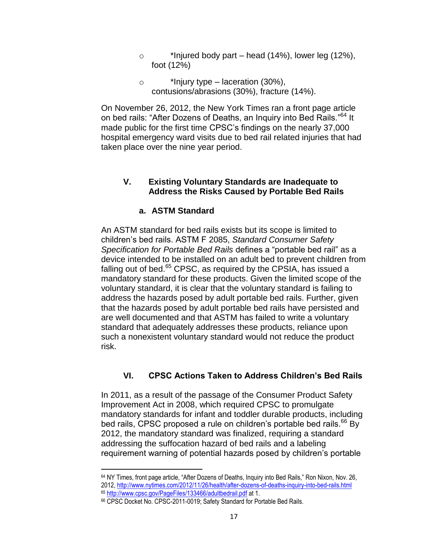- o \*Injured body part head (14%), lower leg (12%), foot (12%)
- $\circ$  \*Injury type laceration (30%), contusions/abrasions (30%), fracture (14%).

On November 26, 2012, the New York Times ran a front page article on bed rails: "After Dozens of Deaths, an Inquiry into Bed Rails."<sup>64</sup> It made public for the first time CPSC's findings on the nearly 37,000 hospital emergency ward visits due to bed rail related injuries that had taken place over the nine year period.

# **V. Existing Voluntary Standards are Inadequate to Address the Risks Caused by Portable Bed Rails**

# **a. ASTM Standard**

An ASTM standard for bed rails exists but its scope is limited to children's bed rails. ASTM F 2085, *Standard Consumer Safety*  Specification for Portable Bed Rails defines a "portable bed rail" as a device intended to be installed on an adult bed to prevent children from falling out of bed.<sup>65</sup> CPSC, as required by the CPSIA, has issued a mandatory standard for these products. Given the limited scope of the voluntary standard, it is clear that the voluntary standard is failing to address the hazards posed by adult portable bed rails. Further, given that the hazards posed by adult portable bed rails have persisted and are well documented and that ASTM has failed to write a voluntary standard that adequately addresses these products, reliance upon such a nonexistent voluntary standard would not reduce the product risk.

# **VI. CPSC Actions Taken to Address Children's Bed Rails**

In 2011, as a result of the passage of the Consumer Product Safety Improvement Act in 2008, which required CPSC to promulgate mandatory standards for infant and toddler durable products, including bed rails, CPSC proposed a rule on children's portable bed rails.<sup>66</sup> By 2012, the mandatory standard was finalized, requiring a standard addressing the suffocation hazard of bed rails and a labeling requirement warning of potential hazards posed by children's portable

<sup>64</sup> NY Times, front page article, "After Dozens of Deaths, Inquiry into Bed Rails," Ron Nixon, Nov. 26, 2012,<http://www.nytimes.com/2012/11/26/health/after-dozens-of-deaths-inquiry-into-bed-rails.html> <sup>65</sup> <http://www.cpsc.gov/PageFiles/133466/adultbedrail.pdf> at 1.

<sup>66</sup> CPSC Docket No. CPSC-2011-0019; Safety Standard for Portable Bed Rails.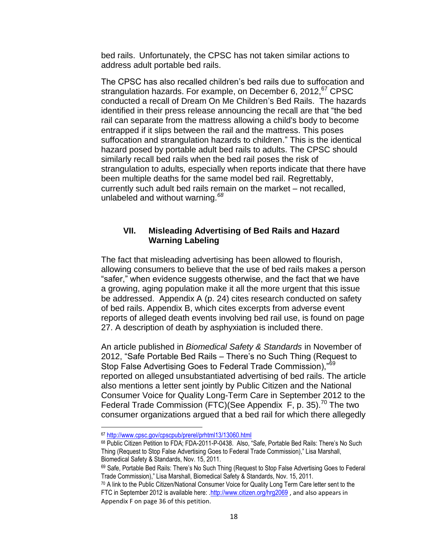bed rails. Unfortunately, the CPSC has not taken similar actions to address adult portable bed rails.

The CPSC has also recalled children's bed rails due to suffocation and strangulation hazards. For example, on December 6,  $2012$ ,  $67$  CPSC conducted a recall of Dream On Me Children's Bed Rails. The hazards identified in their press release announcing the recall are that "the bed rail can separate from the mattress allowing a child's body to become entrapped if it slips between the rail and the mattress. This poses suffocation and strangulation hazards to children." This is the identical hazard posed by portable adult bed rails to adults. The CPSC should similarly recall bed rails when the bed rail poses the risk of strangulation to adults*,* especially when reports indicate that there have been multiple deaths for the same model bed rail. Regrettably, currently such adult bed rails remain on the market – not recalled, unlabeled and without warning.*<sup>68</sup>*

# **VII. Misleading Advertising of Bed Rails and Hazard Warning Labeling**

The fact that misleading advertising has been allowed to flourish, allowing consumers to believe that the use of bed rails makes a person "safer," when evidence suggests otherwise, and the fact that we have a growing, aging population make it all the more urgent that this issue be addressed. Appendix A (p. 24) cites research conducted on safety of bed rails. Appendix B, which cites excerpts from adverse event reports of alleged death events involving bed rail use, is found on page 27. A description of death by asphyxiation is included there.

An article published in *Biomedical Safety & Standards* in November of 2012, "Safe Portable Bed Rails – There's no Such Thing (Request to Stop False Advertising Goes to Federal Trade Commission),"<sup>69</sup> reported on alleged unsubstantiated advertising of bed rails. The article also mentions a letter sent jointly by Public Citizen and the National Consumer Voice for Quality Long-Term Care in September 2012 to the Federal Trade Commission (FTC)(See Appendix F, p. 35).<sup>70</sup> The two consumer organizations argued that a bed rail for which there allegedly

<sup>67</sup> <http://www.cpsc.gov/cpscpub/prerel/prhtml13/13060.html>

<sup>68</sup> Public Citizen Petition to FDA; FDA-2011-P-0438. Also, "Safe, Portable Bed Rails: There's No Such Thing (Request to Stop False Advertising Goes to Federal Trade Commission)," Lisa Marshall, Biomedical Safety & Standards, Nov. 15, 2011.

<sup>69</sup> Safe, Portable Bed Rails: There's No Such Thing (Request to Stop False Advertising Goes to Federal Trade Commission)," Lisa Marshall, Biomedical Safety & Standards, Nov. 15, 2011.

<sup>70</sup> A link to the Public Citizen/National Consumer Voice for Quality Long Term Care letter sent to the FTC in September 2012 is available here: [.http://www.citizen.org/hrg2069](http://www.citizen.org/hrg2069) , and also appears in Appendix F on page 36 of this petition.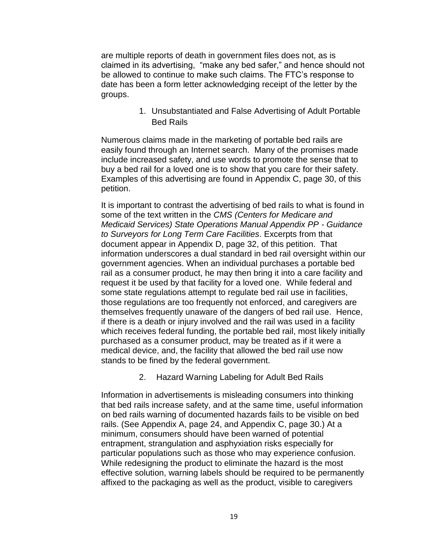are multiple reports of death in government files does not, as is claimed in its advertising, "make any bed safer," and hence should not be allowed to continue to make such claims. The FTC's response to date has been a form letter acknowledging receipt of the letter by the groups.

> 1. Unsubstantiated and False Advertising of Adult Portable Bed Rails

Numerous claims made in the marketing of portable bed rails are easily found through an Internet search. Many of the promises made include increased safety, and use words to promote the sense that to buy a bed rail for a loved one is to show that you care for their safety. Examples of this advertising are found in Appendix C, page 30, of this petition.

It is important to contrast the advertising of bed rails to what is found in some of the text written in the *CMS (Centers for Medicare and Medicaid Services) State Operations Manual Appendix PP - Guidance to Surveyors for Long Term Care Facilities*. Excerpts from that document appear in Appendix D, page 32, of this petition. That information underscores a dual standard in bed rail oversight within our government agencies. When an individual purchases a portable bed rail as a consumer product, he may then bring it into a care facility and request it be used by that facility for a loved one. While federal and some state regulations attempt to regulate bed rail use in facilities, those regulations are too frequently not enforced, and caregivers are themselves frequently unaware of the dangers of bed rail use. Hence, if there is a death or injury involved and the rail was used in a facility which receives federal funding, the portable bed rail, most likely initially purchased as a consumer product, may be treated as if it were a medical device, and, the facility that allowed the bed rail use now stands to be fined by the federal government.

## 2. Hazard Warning Labeling for Adult Bed Rails

Information in advertisements is misleading consumers into thinking that bed rails increase safety, and at the same time, useful information on bed rails warning of documented hazards fails to be visible on bed rails. (See Appendix A, page 24, and Appendix C, page 30.) At a minimum, consumers should have been warned of potential entrapment, strangulation and asphyxiation risks especially for particular populations such as those who may experience confusion. While redesigning the product to eliminate the hazard is the most effective solution, warning labels should be required to be permanently affixed to the packaging as well as the product, visible to caregivers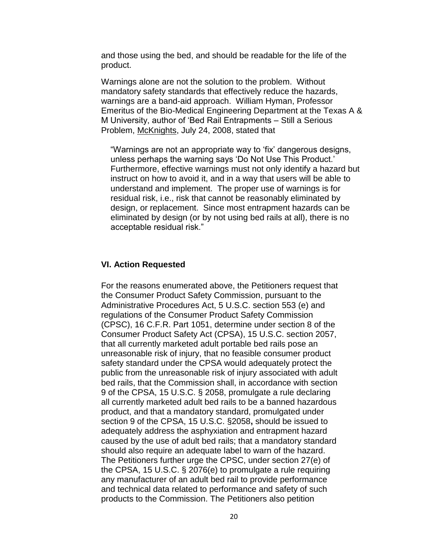and those using the bed, and should be readable for the life of the product.

Warnings alone are not the solution to the problem. Without mandatory safety standards that effectively reduce the hazards, warnings are a band-aid approach. William Hyman, Professor Emeritus of the Bio-Medical Engineering Department at the Texas A & M University, author of 'Bed Rail Entrapments – Still a Serious Problem, McKnights, July 24, 2008, stated that

"Warnings are not an appropriate way to 'fix' dangerous designs, unless perhaps the warning says 'Do Not Use This Product.' Furthermore, effective warnings must not only identify a hazard but instruct on how to avoid it, and in a way that users will be able to understand and implement. The proper use of warnings is for residual risk, i.e., risk that cannot be reasonably eliminated by design, or replacement. Since most entrapment hazards can be eliminated by design (or by not using bed rails at all), there is no acceptable residual risk.‖

### **VI. Action Requested**

For the reasons enumerated above, the Petitioners request that the Consumer Product Safety Commission, pursuant to the Administrative Procedures Act, 5 U.S.C. section 553 (e) and regulations of the Consumer Product Safety Commission (CPSC), 16 C.F.R. Part 1051, determine under section 8 of the Consumer Product Safety Act (CPSA), 15 U.S.C. section 2057, that all currently marketed adult portable bed rails pose an unreasonable risk of injury, that no feasible consumer product safety standard under the CPSA would adequately protect the public from the unreasonable risk of injury associated with adult bed rails, that the Commission shall, in accordance with section 9 of the CPSA, 15 U.S.C. § 2058, promulgate a rule declaring all currently marketed adult bed rails to be a banned hazardous product, and that a mandatory standard, promulgated under section 9 of the CPSA, 15 U.S.C. §2058**,** should be issued to adequately address the asphyxiation and entrapment hazard caused by the use of adult bed rails; that a mandatory standard should also require an adequate label to warn of the hazard. The Petitioners further urge the CPSC, under section 27(e) of the CPSA, 15 U.S.C. § 2076(e) to promulgate a rule requiring any manufacturer of an adult bed rail to provide performance and technical data related to performance and safety of such products to the Commission. The Petitioners also petition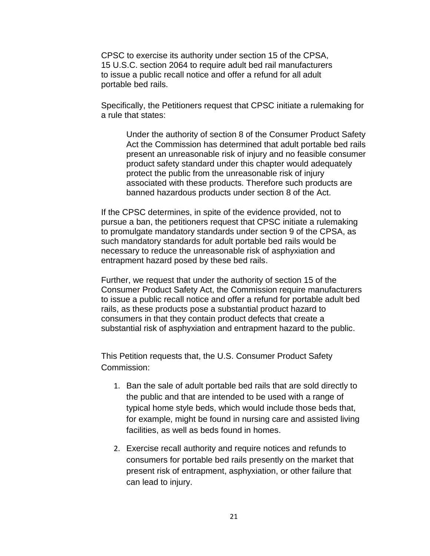CPSC to exercise its authority under section 15 of the CPSA, 15 U.S.C. section 2064 to require adult bed rail manufacturers to issue a public recall notice and offer a refund for all adult portable bed rails.

Specifically, the Petitioners request that CPSC initiate a rulemaking for a rule that states:

Under the authority of section 8 of the Consumer Product Safety Act the Commission has determined that adult portable bed rails present an unreasonable risk of injury and no feasible consumer product safety standard under this chapter would adequately protect the public from the unreasonable risk of injury associated with these products. Therefore such products are banned hazardous products under section 8 of the Act.

If the CPSC determines, in spite of the evidence provided, not to pursue a ban, the petitioners request that CPSC initiate a rulemaking to promulgate mandatory standards under section 9 of the CPSA, as such mandatory standards for adult portable bed rails would be necessary to reduce the unreasonable risk of asphyxiation and entrapment hazard posed by these bed rails.

Further, we request that under the authority of section 15 of the Consumer Product Safety Act, the Commission require manufacturers to issue a public recall notice and offer a refund for portable adult bed rails, as these products pose a substantial product hazard to consumers in that they contain product defects that create a substantial risk of asphyxiation and entrapment hazard to the public.

This Petition requests that, the U.S. Consumer Product Safety Commission:

- 1. Ban the sale of adult portable bed rails that are sold directly to the public and that are intended to be used with a range of typical home style beds, which would include those beds that, for example, might be found in nursing care and assisted living facilities, as well as beds found in homes.
- 2. Exercise recall authority and require notices and refunds to consumers for portable bed rails presently on the market that present risk of entrapment, asphyxiation, or other failure that can lead to injury.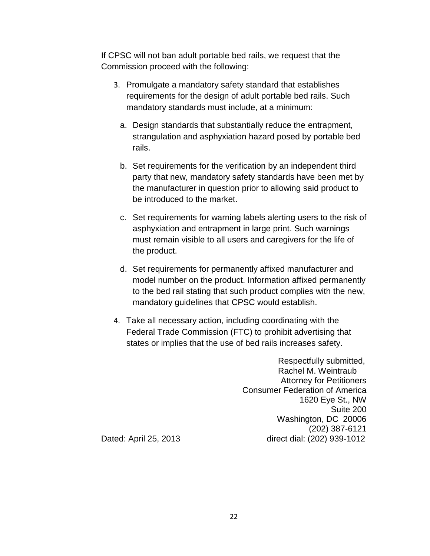If CPSC will not ban adult portable bed rails, we request that the Commission proceed with the following:

- 3. Promulgate a mandatory safety standard that establishes requirements for the design of adult portable bed rails. Such mandatory standards must include, at a minimum:
	- a. Design standards that substantially reduce the entrapment, strangulation and asphyxiation hazard posed by portable bed rails.
	- b. Set requirements for the verification by an independent third party that new, mandatory safety standards have been met by the manufacturer in question prior to allowing said product to be introduced to the market.
	- c. Set requirements for warning labels alerting users to the risk of asphyxiation and entrapment in large print. Such warnings must remain visible to all users and caregivers for the life of the product.
	- d. Set requirements for permanently affixed manufacturer and model number on the product. Information affixed permanently to the bed rail stating that such product complies with the new, mandatory guidelines that CPSC would establish.
- 4. Take all necessary action, including coordinating with the Federal Trade Commission (FTC) to prohibit advertising that states or implies that the use of bed rails increases safety.

Respectfully submitted, Rachel M. Weintraub Attorney for Petitioners Consumer Federation of America 1620 Eye St., NW Suite 200 Washington, DC 20006 (202) 387-6121 Dated: April 25, 2013 direct dial: (202) 939-1012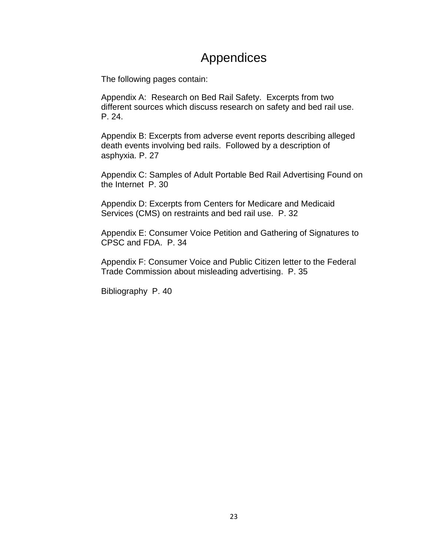# Appendices

The following pages contain:

Appendix A: Research on Bed Rail Safety. Excerpts from two different sources which discuss research on safety and bed rail use. P. 24.

Appendix B: Excerpts from adverse event reports describing alleged death events involving bed rails. Followed by a description of asphyxia. P. 27

Appendix C: Samples of Adult Portable Bed Rail Advertising Found on the Internet P. 30

Appendix D: Excerpts from Centers for Medicare and Medicaid Services (CMS) on restraints and bed rail use. P. 32

Appendix E: Consumer Voice Petition and Gathering of Signatures to CPSC and FDA. P. 34

Appendix F: Consumer Voice and Public Citizen letter to the Federal Trade Commission about misleading advertising. P. 35

Bibliography P. 40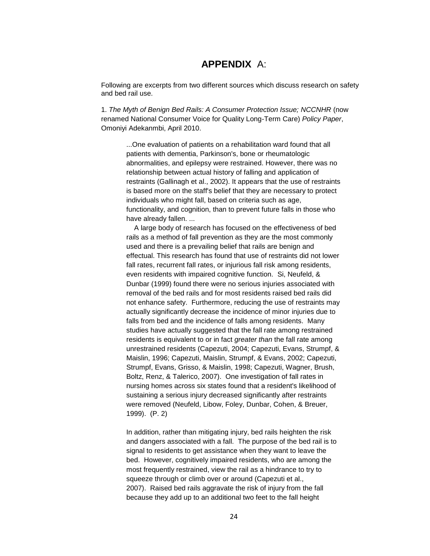# **APPENDIX** A:

Following are excerpts from two different sources which discuss research on safety and bed rail use.

1. *The Myth of Benign Bed Rails: A Consumer Protection Issue; NCCNHR* (now renamed National Consumer Voice for Quality Long-Term Care) *Policy Paper*, Omoniyi Adekanmbi, April 2010.

...One evaluation of patients on a rehabilitation ward found that all patients with dementia, Parkinson's, bone or rheumatologic abnormalities, and epilepsy were restrained. However, there was no relationship between actual history of falling and application of restraints (Gallinagh et al., 2002). It appears that the use of restraints is based more on the staff's belief that they are necessary to protect individuals who might fall, based on criteria such as age, functionality, and cognition, than to prevent future falls in those who have already fallen. ...

A large body of research has focused on the effectiveness of bed rails as a method of fall prevention as they are the most commonly used and there is a prevailing belief that rails are benign and effectual. This research has found that use of restraints did not lower fall rates, recurrent fall rates, or injurious fall risk among residents, even residents with impaired cognitive function. Si, Neufeld, & Dunbar (1999) found there were no serious injuries associated with removal of the bed rails and for most residents raised bed rails did not enhance safety. Furthermore, reducing the use of restraints may actually significantly decrease the incidence of minor injuries due to falls from bed and the incidence of falls among residents. Many studies have actually suggested that the fall rate among restrained residents is equivalent to or in fact *greater than* the fall rate among unrestrained residents (Capezuti, 2004; Capezuti, Evans, Strumpf, & Maislin, 1996; Capezuti, Maislin, Strumpf, & Evans, 2002; Capezuti, Strumpf, Evans, Grisso, & Maislin, 1998; Capezuti, Wagner, Brush, Boltz, Renz, & Talerico, 2007). One investigation of fall rates in nursing homes across six states found that a resident's likelihood of sustaining a serious injury decreased significantly after restraints were removed (Neufeld, Libow, Foley, Dunbar, Cohen, & Breuer, 1999). (P. 2)

In addition, rather than mitigating injury, bed rails heighten the risk and dangers associated with a fall. The purpose of the bed rail is to signal to residents to get assistance when they want to leave the bed. However, cognitively impaired residents, who are among the most frequently restrained, view the rail as a hindrance to try to squeeze through or climb over or around (Capezuti et al., 2007). Raised bed rails aggravate the risk of injury from the fall because they add up to an additional two feet to the fall height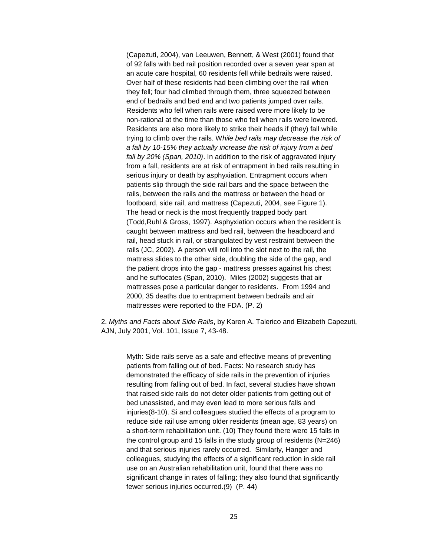(Capezuti, 2004), van Leeuwen, Bennett, & West (2001) found that of 92 falls with bed rail position recorded over a seven year span at an acute care hospital, 60 residents fell while bedrails were raised. Over half of these residents had been climbing over the rail when they fell; four had climbed through them, three squeezed between end of bedrails and bed end and two patients jumped over rails. Residents who fell when rails were raised were more likely to be non-rational at the time than those who fell when rails were lowered. Residents are also more likely to strike their heads if (they) fall while trying to climb over the rails. W*hile bed rails may decrease the risk of a fall by 10-15% they actually increase the risk of injury from a bed fall by 20% (Span, 2010)*. In addition to the risk of aggravated injury from a fall, residents are at risk of entrapment in bed rails resulting in serious injury or death by asphyxiation. Entrapment occurs when patients slip through the side rail bars and the space between the rails, between the rails and the mattress or between the head or footboard, side rail, and mattress (Capezuti, 2004, see Figure 1). The head or neck is the most frequently trapped body part (Todd,Ruhl & Gross, 1997). Asphyxiation occurs when the resident is caught between mattress and bed rail, between the headboard and rail, head stuck in rail, or strangulated by vest restraint between the rails (JC, 2002). A person will roll into the slot next to the rail, the mattress slides to the other side, doubling the side of the gap, and the patient drops into the gap - mattress presses against his chest and he suffocates (Span, 2010). Miles (2002) suggests that air mattresses pose a particular danger to residents. From 1994 and 2000, 35 deaths due to entrapment between bedrails and air mattresses were reported to the FDA. (P. 2)

2. *Myths and Facts about Side Rails*, by Karen A. Talerico and Elizabeth Capezuti, AJN, July 2001, Vol. 101, Issue 7, 43-48.

Myth: Side rails serve as a safe and effective means of preventing patients from falling out of bed. Facts: No research study has demonstrated the efficacy of side rails in the prevention of injuries resulting from falling out of bed. In fact, several studies have shown that raised side rails do not deter older patients from getting out of bed unassisted, and may even lead to more serious falls and injuries(8-10). Si and colleagues studied the effects of a program to reduce side rail use among older residents (mean age, 83 years) on a short-term rehabilitation unit. (10) They found there were 15 falls in the control group and 15 falls in the study group of residents (N=246) and that serious injuries rarely occurred. Similarly, Hanger and colleagues, studying the effects of a significant reduction in side rail use on an Australian rehabilitation unit, found that there was no significant change in rates of falling; they also found that significantly fewer serious injuries occurred.(9) (P. 44)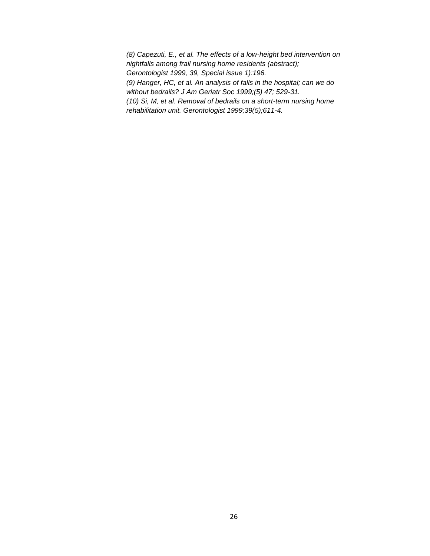*(8) Capezuti, E., et al. The effects of a low-height bed intervention on nightfalls among frail nursing home residents (abstract); Gerontologist 1999, 39, Special issue 1):196. (9) Hanger, HC, et al. An analysis of falls in the hospital; can we do without bedrails? J Am Geriatr Soc 1999;(5) 47; 529-31. (10) Si, M, et al. Removal of bedrails on a short-term nursing home rehabilitation unit. Gerontologist 1999;39(5);611-4.*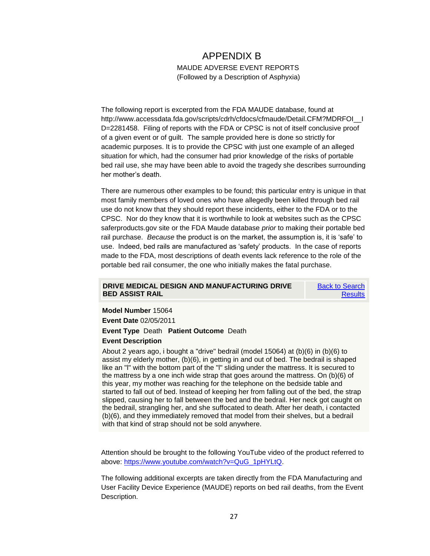# APPENDIX B

#### MAUDE ADVERSE EVENT REPORTS

(Followed by a Description of Asphyxia)

The following report is excerpted from the FDA MAUDE database, found at http://www.accessdata.fda.gov/scripts/cdrh/cfdocs/cfmaude/Detail.CFM?MDRFOI\_\_I D=2281458. Filing of reports with the FDA or CPSC is not of itself conclusive proof of a given event or of guilt. The sample provided here is done so strictly for academic purposes. It is to provide the CPSC with just one example of an alleged situation for which, had the consumer had prior knowledge of the risks of portable bed rail use, she may have been able to avoid the tragedy she describes surrounding her mother's death.

There are numerous other examples to be found; this particular entry is unique in that most family members of loved ones who have allegedly been killed through bed rail use do not know that they should report these incidents, either to the FDA or to the CPSC. Nor do they know that it is worthwhile to look at websites such as the CPSC saferproducts.gov site or the FDA Maude database *prior* to making their portable bed rail purchase. *Because* the product is on the market, the assumption is, it is 'safe' to use. Indeed, bed rails are manufactured as 'safety' products. In the case of reports made to the FDA, most descriptions of death events lack reference to the role of the portable bed rail consumer, the one who initially makes the fatal purchase.

#### **DRIVE MEDICAL DESIGN AND MANUFACTURING DRIVE BED ASSIST RAIL**

**Back to Search [Results](javascript:%20history.go(-1))** 

**Model Number** 15064 **Event Date** 02/05/2011 **Event Type** Death **Patient Outcome** Death **Event Description** 

About 2 years ago, i bought a "drive" bedrail (model 15064) at (b)(6) in (b)(6) to assist my elderly mother, (b)(6), in getting in and out of bed. The bedrail is shaped like an "l" with the bottom part of the "l" sliding under the mattress. It is secured to the mattress by a one inch wide strap that goes around the mattress. On (b)(6) of this year, my mother was reaching for the telephone on the bedside table and started to fall out of bed. Instead of keeping her from falling out of the bed, the strap slipped, causing her to fall between the bed and the bedrail. Her neck got caught on the bedrail, strangling her, and she suffocated to death. After her death, i contacted (b)(6), and they immediately removed that model from their shelves, but a bedrail with that kind of strap should not be sold anywhere.

Attention should be brought to the following YouTube video of the product referred to above: [https://www.youtube.com/watch?v=QuG\\_1pHYLtQ.](https://www.youtube.com/watch?v=QuG_1pHYLtQ)

The following additional excerpts are taken directly from the FDA Manufacturing and User Facility Device Experience (MAUDE) reports on bed rail deaths, from the Event Description.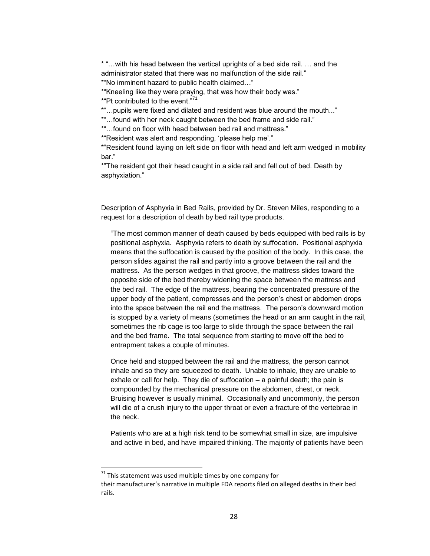\* ―…with his head between the vertical uprights of a bed side rail. … and the administrator stated that there was no malfunction of the side rail."

\*"No imminent hazard to public health claimed..."

\*"Kneeling like they were praying, that was how their body was."

\*"Pt contributed to the event."<sup>71</sup>

\*"...pupils were fixed and dilated and resident was blue around the mouth..."

\*"...found with her neck caught between the bed frame and side rail."

\*"...found on floor with head between bed rail and mattress."

\*"Resident was alert and responding, 'please help me'."

\*"Resident found laying on left side on floor with head and left arm wedged in mobility bar."

\*"The resident got their head caught in a side rail and fell out of bed. Death by asphyxiation."

Description of Asphyxia in Bed Rails, provided by Dr. Steven Miles, responding to a request for a description of death by bed rail type products.

―The most common manner of death caused by beds equipped with bed rails is by positional asphyxia. Asphyxia refers to death by suffocation. Positional asphyxia means that the suffocation is caused by the position of the body. In this case, the person slides against the rail and partly into a groove between the rail and the mattress. As the person wedges in that groove, the mattress slides toward the opposite side of the bed thereby widening the space between the mattress and the bed rail. The edge of the mattress, bearing the concentrated pressure of the upper body of the patient, compresses and the person's chest or abdomen drops into the space between the rail and the mattress. The person's downward motion is stopped by a variety of means (sometimes the head or an arm caught in the rail, sometimes the rib cage is too large to slide through the space between the rail and the bed frame. The total sequence from starting to move off the bed to entrapment takes a couple of minutes.

Once held and stopped between the rail and the mattress, the person cannot inhale and so they are squeezed to death. Unable to inhale, they are unable to exhale or call for help. They die of suffocation – a painful death; the pain is compounded by the mechanical pressure on the abdomen, chest, or neck. Bruising however is usually minimal. Occasionally and uncommonly, the person will die of a crush injury to the upper throat or even a fracture of the vertebrae in the neck.

Patients who are at a high risk tend to be somewhat small in size, are impulsive and active in bed, and have impaired thinking. The majority of patients have been

 $71$  This statement was used multiple times by one company for

their manufacturer's narrative in multiple FDA reports filed on alleged deaths in their bed rails.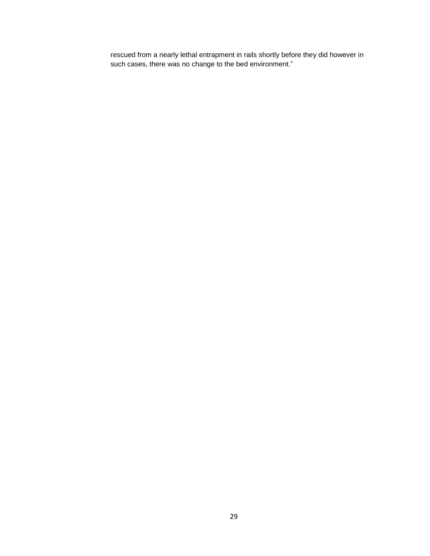rescued from a nearly lethal entrapment in rails shortly before they did however in such cases, there was no change to the bed environment."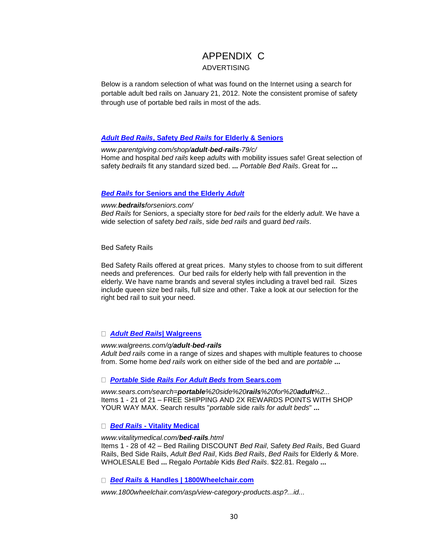# APPENDIX C

#### ADVERTISING

Below is a random selection of what was found on the Internet using a search for portable adult bed rails on January 21, 2012. Note the consistent promise of safety through use of portable bed rails in most of the ads.

#### *Adult Bed Rails***, Safety** *Bed Rails* **[for Elderly & Seniors](http://www.google.com/url?sa=t&rct=j&q=&esrc=s&source=web&cd=2&ved=0CFwQFjAB&url=http%3A%2F%2Fwww.parentgiving.com%2Fshop%2Fadult-bed-rails-79%2Fc%2F&ei=Ny39UMeODomjrQGNx4GYAQ&usg=AFQjCNHAFv3sS0HNYJTA3wkZ-Iezyzs10Q&sig2=A4RBTxYdV1uAv_Qx7K1Yeg&bvm=bv.41248874,d.aWM)**

*www.parentgiving.com/shop/adult-bed-rails-79/c/* Home and hospital *bed rails* keep *adults* with mobility issues safe! Great selection of safety *bedrails* fit any standard sized bed. **...** *Portable Bed Rails*. Great for **...**

#### *Bed Rails* **[for Seniors and the Elderly](http://www.bedrailsforseniors.com/)** *Adult*

#### *www.bedrailsforseniors.com/*

*Bed Rails* for Seniors, a specialty store for *bed rails* for the elderly *adult*. We have a wide selection of safety *bed rails*, side *bed rails* and guard *bed rails*.

Bed Safety Rails

Bed Safety Rails offered at great prices. Many styles to choose from to suit different needs and preferences. Our bed rails for elderly help with fall prevention in the elderly. We have name brands and several styles including a travel bed rail. Sizes include queen size bed rails, full size and other. Take a look at our selection for the right bed rail to suit your need.

#### *[Adult Bed Rails](http://www.walgreens.com/q/adult-bed-rails)***| Walgreens**

#### *www.walgreens.com/q/adult-bed-rails*

*Adult bed rails* come in a range of sizes and shapes with multiple features to choose from. Some home *bed rails* work on either side of the bed and are *portable* **...**

#### *Portable* **Side** *[Rails For Adult Beds](http://www.sears.com/search=portable%20side%20rails%20for%20adult%20beds)* **from Sears.com**

*www.sears.com/search=portable%20side%20rails%20for%20adult%2...* Items 1 - 21 of 21 – FREE SHIPPING AND 2X REWARDS POINTS WITH SHOP YOUR WAY MAX. Search results "*portable* side *rails for adult beds*" **...**

#### *Bed Rails* **- [Vitality Medical](http://www.google.com/url?sa=t&rct=j&q=&esrc=s&source=web&cd=9&ved=0CIYBEBYwCA&url=http%3A%2F%2Fwww.vitalitymedical.com%2Fbed-rails.html&ei=Ny39UMeODomjrQGNx4GYAQ&usg=AFQjCNGExpb7rMGIvJ5rSePfUPFne_9Xjw&sig2=fBNMYDgdIBJNBYFOpnIgVA&bvm=bv.41248874,d.aWM)**

#### *www.vitalitymedical.com/bed-rails.html*

Items 1 - 28 of 42 – Bed Railing DISCOUNT *Bed Rail*, Safety *Bed Rails*, Bed Guard Rails, Bed Side Rails, *Adult Bed Rail*, Kids *Bed Rails*, *Bed Rails* for Elderly & More. WHOLESALE Bed **...** Regalo *Portable* Kids *Bed Rails*. \$22.81. Regalo **...**

*Bed Rails* **[& Handles | 1800Wheelchair.com](http://www.1800wheelchair.com/asp/view-category-products.asp?category_id=699)**

*www.1800wheelchair.com/asp/view-category-products.asp?...id...*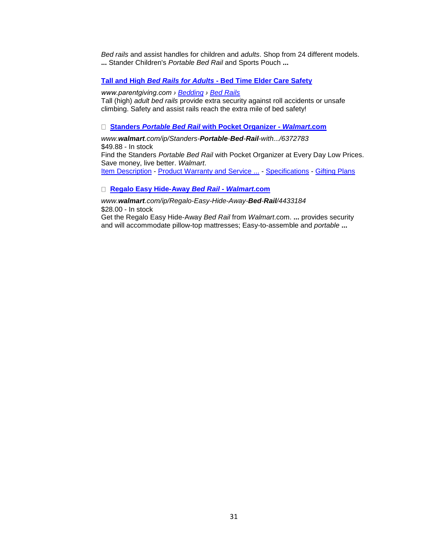*Bed rails* and assist handles for children and *adults*. Shop from 24 different models. **...** Stander Children's *Portable Bed Rail* and Sports Pouch **...**

#### **Tall and High** *Bed Rails for Adults* **- [Bed Time Elder Care Safety](http://www.google.com/url?sa=t&rct=j&q=&esrc=s&source=web&cd=17&ved=0CHoQFjAGOAo&url=http%3A%2F%2Fwww.parentgiving.com%2Fshop%2Ftall-high-bed-rails-574%2Fc%2F&ei=Ei_9UPeMNMatqgH-0IC4Bg&usg=AFQjCNFmc1Pm0nKSAL5XKTOS8WaL6St_fw&sig2=XN84Zohlz0OQELpRAGB-iQ&bvm=bv.41248874,d.aWM)**

#### *www.parentgiving.com › [Bedding](http://www.parentgiving.com/shop/bedding-78/c/) › [Bed Rails](http://www.parentgiving.com/shop/adult-bed-rails-79/c/)*

Tall (high) *adult bed rails* provide extra security against roll accidents or unsafe climbing. Safety and assist rails reach the extra mile of bed safety!

#### **Standers** *Portable Bed Rail* **[with Pocket Organizer -](http://www.walmart.com/ip/Standers-Portable-Bed-Rail-with-Pocket-Organizer/6372783)** *Walmart***.com**

*www.walmart.com/ip/Standers-Portable-Bed-Rail-with.../6372783* \$49.88 - In stock Find the Standers *Portable Bed Rail* with Pocket Organizer at Every Day Low Prices. Save money, live better. *Walmart*. [Item Description](http://www.walmart.com/ip/Standers-Portable-Bed-Rail-with-Pocket-Organizer/6372783#Item+Description) - [Product Warranty and Service ...](http://www.walmart.com/ip/Standers-Portable-Bed-Rail-with-Pocket-Organizer/6372783#Product+Warranty+and+Service+Plan+Options) - [Specifications](http://www.walmart.com/ip/Standers-Portable-Bed-Rail-with-Pocket-Organizer/6372783#Specifications) - [Gifting Plans](http://www.walmart.com/ip/Standers-Portable-Bed-Rail-with-Pocket-Organizer/6372783#Gifting+Plans)

#### **[Regalo Easy Hide-Away](http://www.walmart.com/ip/Regalo-Easy-Hide-Away-Bed-Rail/4433184)** *Bed Rail* **-** *Walmart***.com**

*www.walmart.com/ip/Regalo-Easy-Hide-Away-Bed-Rail/4433184* \$28.00 - In stock

Get the Regalo Easy Hide-Away *Bed Rail* from *Walmart*.com. **...** provides security and will accommodate pillow-top mattresses; Easy-to-assemble and *portable* **...**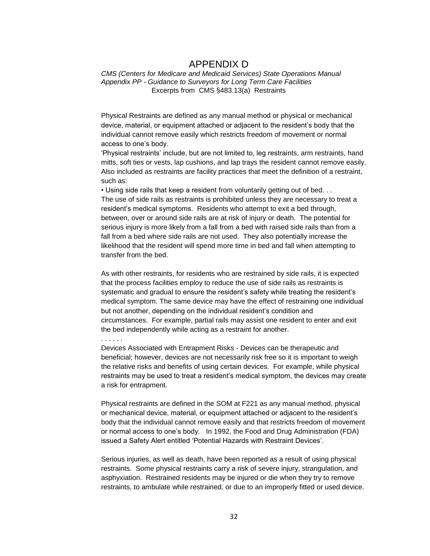# APPENDIX D

*CMS (Centers for Medicare and Medicaid Services) State Operations Manual Appendix PP - Guidance to Surveyors for Long Term Care Facilities* Excerpts from CMS §483.13(a) Restraints

Physical Restraints are defined as any manual method or physical or mechanical device, material, or equipment attached or adjacent to the resident's body that the individual cannot remove easily which restricts freedom of movement or normal access to one's body.

‗Physical restraints' include, but are not limited to, leg restraints, arm restraints, hand mitts, soft ties or vests, lap cushions, and lap trays the resident cannot remove easily. Also included as restraints are facility practices that meet the definition of a restraint, such as:

• Using side rails that keep a resident from voluntarily getting out of bed. . . The use of side rails as restraints is prohibited unless they are necessary to treat a resident's medical symptoms. Residents who attempt to exit a bed through, between, over or around side rails are at risk of injury or death. The potential for serious injury is more likely from a fall from a bed with raised side rails than from a fall from a bed where side rails are not used. They also potentially increase the likelihood that the resident will spend more time in bed and fall when attempting to transfer from the bed.

As with other restraints, for residents who are restrained by side rails, it is expected that the process facilities employ to reduce the use of side rails as restraints is systematic and gradual to ensure the resident's safety while treating the resident's medical symptom. The same device may have the effect of restraining one individual but not another, depending on the individual resident's condition and circumstances. For example, partial rails may assist one resident to enter and exit the bed independently while acting as a restraint for another.

. . . . . . Devices Associated with Entrapment Risks - Devices can be therapeutic and beneficial; however, devices are not necessarily risk free so it is important to weigh the relative risks and benefits of using certain devices. For example, while physical restraints may be used to treat a resident's medical symptom, the devices may create a risk for entrapment.

Physical restraints are defined in the SOM at F221 as any manual method, physical or mechanical device, material, or equipment attached or adjacent to the resident's body that the individual cannot remove easily and that restricts freedom of movement or normal access to one's body. In 1992, the Food and Drug Administration (FDA) issued a Safety Alert entitled 'Potential Hazards with Restraint Devices'.

Serious injuries, as well as death, have been reported as a result of using physical restraints. Some physical restraints carry a risk of severe injury, strangulation, and asphyxiation. Restrained residents may be injured or die when they try to remove restraints, to ambulate while restrained, or due to an improperly fitted or used device.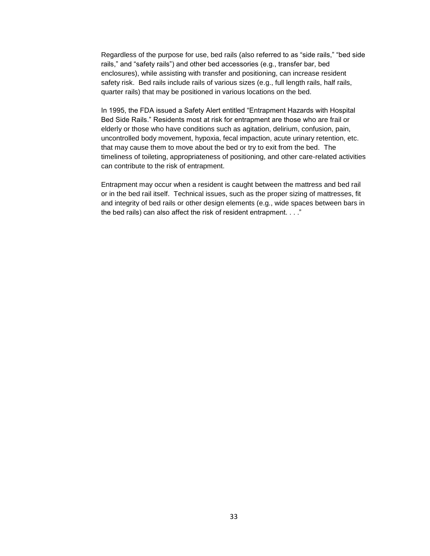Regardless of the purpose for use, bed rails (also referred to as "side rails," "bed side rails," and "safety rails") and other bed accessories (e.g., transfer bar, bed enclosures), while assisting with transfer and positioning, can increase resident safety risk. Bed rails include rails of various sizes (e.g., full length rails, half rails, quarter rails) that may be positioned in various locations on the bed.

In 1995, the FDA issued a Safety Alert entitled "Entrapment Hazards with Hospital Bed Side Rails." Residents most at risk for entrapment are those who are frail or elderly or those who have conditions such as agitation, delirium, confusion, pain, uncontrolled body movement, hypoxia, fecal impaction, acute urinary retention, etc. that may cause them to move about the bed or try to exit from the bed. The timeliness of toileting, appropriateness of positioning, and other care-related activities can contribute to the risk of entrapment.

Entrapment may occur when a resident is caught between the mattress and bed rail or in the bed rail itself. Technical issues, such as the proper sizing of mattresses, fit and integrity of bed rails or other design elements (e.g., wide spaces between bars in the bed rails) can also affect the risk of resident entrapment. . . ."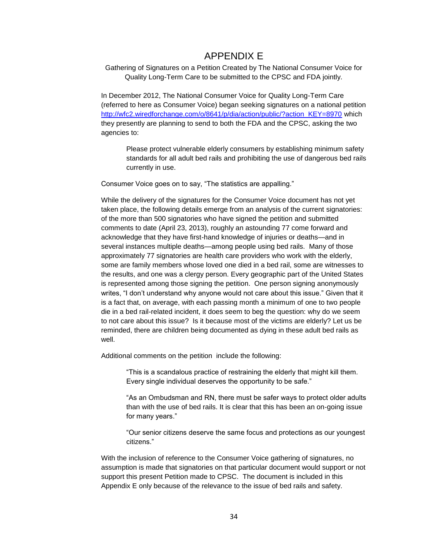# APPENDIX E

Gathering of Signatures on a Petition Created by The National Consumer Voice for Quality Long-Term Care to be submitted to the CPSC and FDA jointly.

In December 2012, The National Consumer Voice for Quality Long-Term Care (referred to here as Consumer Voice) began seeking signatures on a national petition [http://wfc2.wiredforchange.com/o/8641/p/dia/action/public/?action\\_KEY=8970](http://wfc2.wiredforchange.com/o/8641/p/dia/action/public/?action_KEY=8970) which they presently are planning to send to both the FDA and the CPSC, asking the two agencies to:

Please protect vulnerable elderly consumers by establishing minimum safety standards for all adult bed rails and prohibiting the use of dangerous bed rails currently in use.

Consumer Voice goes on to say, "The statistics are appalling."

While the delivery of the signatures for the Consumer Voice document has not yet taken place, the following details emerge from an analysis of the current signatories: of the more than 500 signatories who have signed the petition and submitted comments to date (April 23, 2013), roughly an astounding 77 come forward and acknowledge that they have first-hand knowledge of injuries or deaths—and in several instances multiple deaths—among people using bed rails. Many of those approximately 77 signatories are health care providers who work with the elderly, some are family members whose loved one died in a bed rail, some are witnesses to the results, and one was a clergy person. Every geographic part of the United States is represented among those signing the petition. One person signing anonymously writes, "I don't understand why anyone would not care about this issue." Given that it is a fact that, on average, with each passing month a minimum of one to two people die in a bed rail-related incident, it does seem to beg the question: why do we seem to not care about this issue? Is it because most of the victims are elderly? Let us be reminded, there are children being documented as dying in these adult bed rails as well.

Additional comments on the petition include the following:

―This is a scandalous practice of restraining the elderly that might kill them. Every single individual deserves the opportunity to be safe."

"As an Ombudsman and RN, there must be safer ways to protect older adults than with the use of bed rails. It is clear that this has been an on-going issue for many years."

―Our senior citizens deserve the same focus and protections as our youngest citizens.‖

With the inclusion of reference to the Consumer Voice gathering of signatures, no assumption is made that signatories on that particular document would support or not support this present Petition made to CPSC. The document is included in this Appendix E only because of the relevance to the issue of bed rails and safety.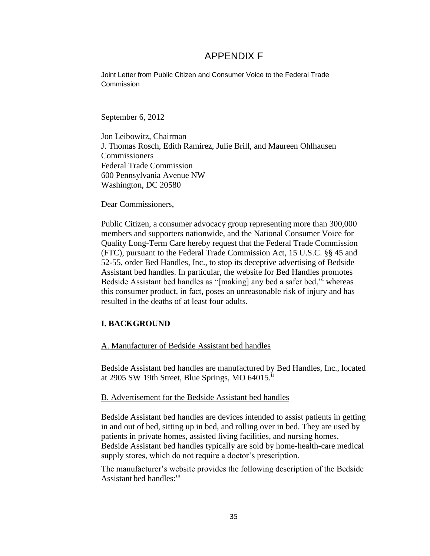# APPENDIX F

Joint Letter from Public Citizen and Consumer Voice to the Federal Trade Commission

September 6, 2012

Jon Leibowitz, Chairman J. Thomas Rosch, Edith Ramirez, Julie Brill, and Maureen Ohlhausen Commissioners Federal Trade Commission 600 Pennsylvania Avenue NW Washington, DC 20580

Dear Commissioners,

Public Citizen, a consumer advocacy group representing more than 300,000 members and supporters nationwide, and the National Consumer Voice for Quality Long-Term Care hereby request that the Federal Trade Commission (FTC), pursuant to the Federal Trade Commission Act, 15 U.S.C. §§ 45 and 52-55, order Bed Handles, Inc., to stop its deceptive advertising of Bedside Assistant bed handles. In particular, the website for Bed Handles promotes Bedside Assistant bed handles as "[making] any bed a safer bed,"<sup>i</sup> whereas this consumer product, in fact, poses an unreasonable risk of injury and has resulted in the deaths of at least four adults.

## **I. BACKGROUND**

A. Manufacturer of Bedside Assistant bed handles

Bedside Assistant bed handles are manufactured by Bed Handles, Inc., located at 2905 SW 19th Street, Blue Springs, MO  $64015$ .<sup>ii</sup>

#### B. Advertisement for the Bedside Assistant bed handles

Bedside Assistant bed handles are devices intended to assist patients in getting in and out of bed, sitting up in bed, and rolling over in bed. They are used by patients in private homes, assisted living facilities, and nursing homes. Bedside Assistant bed handles typically are sold by home-health-care medical supply stores, which do not require a doctor's prescription.

The manufacturer's website provides the following description of the Bedside Assistant bed handles:<sup>iii</sup>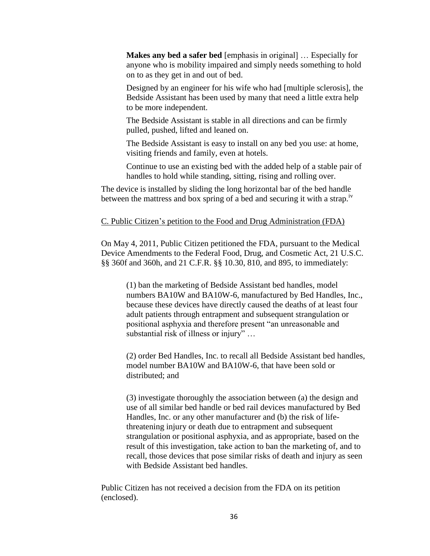**Makes any bed a safer bed** [emphasis in original] … Especially for anyone who is mobility impaired and simply needs something to hold on to as they get in and out of bed.

Designed by an engineer for his wife who had [multiple sclerosis], the Bedside Assistant has been used by many that need a little extra help to be more independent.

The Bedside Assistant is stable in all directions and can be firmly pulled, pushed, lifted and leaned on.

The Bedside Assistant is easy to install on any bed you use: at home, visiting friends and family, even at hotels.

Continue to use an existing bed with the added help of a stable pair of handles to hold while standing, sitting, rising and rolling over.

The device is installed by sliding the long horizontal bar of the bed handle between the mattress and box spring of a bed and securing it with a strap.<sup>1v</sup>

#### C. Public Citizen's petition to the Food and Drug Administration (FDA)

On May 4, 2011, Public Citizen petitioned the FDA, pursuant to the Medical Device Amendments to the Federal Food, Drug, and Cosmetic Act, 21 U.S.C. §§ 360f and 360h, and 21 C.F.R. §§ 10.30, 810, and 895, to immediately:

(1) ban the marketing of Bedside Assistant bed handles, model numbers BA10W and BA10W-6, manufactured by Bed Handles, Inc., because these devices have directly caused the deaths of at least four adult patients through entrapment and subsequent strangulation or positional asphyxia and therefore present "an unreasonable and substantial risk of illness or injury" ...

(2) order Bed Handles, Inc. to recall all Bedside Assistant bed handles, model number BA10W and BA10W-6, that have been sold or distributed; and

(3) investigate thoroughly the association between (a) the design and use of all similar bed handle or bed rail devices manufactured by Bed Handles, Inc. or any other manufacturer and (b) the risk of lifethreatening injury or death due to entrapment and subsequent strangulation or positional asphyxia, and as appropriate, based on the result of this investigation, take action to ban the marketing of, and to recall, those devices that pose similar risks of death and injury as seen with Bedside Assistant bed handles.

Public Citizen has not received a decision from the FDA on its petition (enclosed).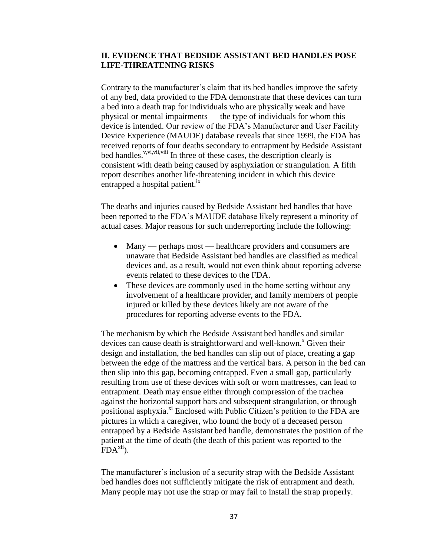## **II. EVIDENCE THAT BEDSIDE ASSISTANT BED HANDLES POSE LIFE-THREATENING RISKS**

Contrary to the manufacturer's claim that its bed handles improve the safety of any bed, data provided to the FDA demonstrate that these devices can turn a bed into a death trap for individuals who are physically weak and have physical or mental impairments — the type of individuals for whom this device is intended. Our review of the FDA's Manufacturer and User Facility Device Experience (MAUDE) database reveals that since 1999, the FDA has received reports of four deaths secondary to entrapment by Bedside Assistant bed handles.<sup>v,vi,vii,viii</sup> In three of these cases, the description clearly is consistent with death being caused by asphyxiation or strangulation. A fifth report describes another life-threatening incident in which this device entrapped a hospital patient.<sup>1X</sup>

The deaths and injuries caused by Bedside Assistant bed handles that have been reported to the FDA's MAUDE database likely represent a minority of actual cases. Major reasons for such underreporting include the following:

- Many perhaps most healthcare providers and consumers are unaware that Bedside Assistant bed handles are classified as medical devices and, as a result, would not even think about reporting adverse events related to these devices to the FDA.
- These devices are commonly used in the home setting without any involvement of a healthcare provider, and family members of people injured or killed by these devices likely are not aware of the procedures for reporting adverse events to the FDA.

The mechanism by which the Bedside Assistant bed handles and similar devices can cause death is straightforward and well-known.<sup> $x$ </sup> Given their design and installation, the bed handles can slip out of place, creating a gap between the edge of the mattress and the vertical bars. A person in the bed can then slip into this gap, becoming entrapped. Even a small gap, particularly resulting from use of these devices with soft or worn mattresses, can lead to entrapment. Death may ensue either through compression of the trachea against the horizontal support bars and subsequent strangulation, or through positional asphyxia.<sup>xi</sup> Enclosed with Public Citizen's petition to the FDA are pictures in which a caregiver, who found the body of a deceased person entrapped by a Bedside Assistant bed handle, demonstrates the position of the patient at the time of death (the death of this patient was reported to the  $FDA<sup>xii</sup>$ ).

The manufacturer's inclusion of a security strap with the Bedside Assistant bed handles does not sufficiently mitigate the risk of entrapment and death. Many people may not use the strap or may fail to install the strap properly.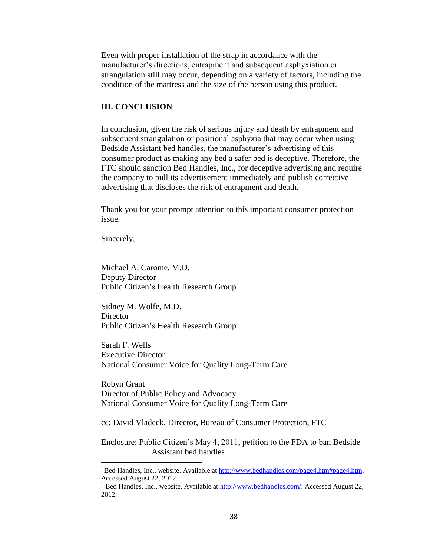Even with proper installation of the strap in accordance with the manufacturer's directions, entrapment and subsequent asphyxiation or strangulation still may occur, depending on a variety of factors, including the condition of the mattress and the size of the person using this product.

#### **III. CONCLUSION**

In conclusion, given the risk of serious injury and death by entrapment and subsequent strangulation or positional asphyxia that may occur when using Bedside Assistant bed handles, the manufacturer's advertising of this consumer product as making any bed a safer bed is deceptive. Therefore, the FTC should sanction Bed Handles, Inc., for deceptive advertising and require the company to pull its advertisement immediately and publish corrective advertising that discloses the risk of entrapment and death.

Thank you for your prompt attention to this important consumer protection issue.

Sincerely,

 $\overline{a}$ 

Michael A. Carome, M.D. Deputy Director Public Citizen's Health Research Group

Sidney M. Wolfe, M.D. **Director** Public Citizen's Health Research Group

Sarah F. Wells Executive Director National Consumer Voice for Quality Long-Term Care

Robyn Grant Director of Public Policy and Advocacy National Consumer Voice for Quality Long-Term Care

cc: David Vladeck, Director, Bureau of Consumer Protection, FTC

Enclosure: Public Citizen's May 4, 2011, petition to the FDA to ban Bedside Assistant bed handles

<sup>&</sup>lt;sup>i</sup> Bed Handles, Inc., website. Available a[t http://www.bedhandles.com/page4.htm#page4.htm.](http://www.bedhandles.com/page4.htm#page4.htm) Accessed August 22, 2012.

<sup>&</sup>lt;sup>ii</sup> Bed Handles, Inc., website. Available at [http://www.bedhandles.com/.](http://www.bedhandles.com/) Accessed August 22, 2012.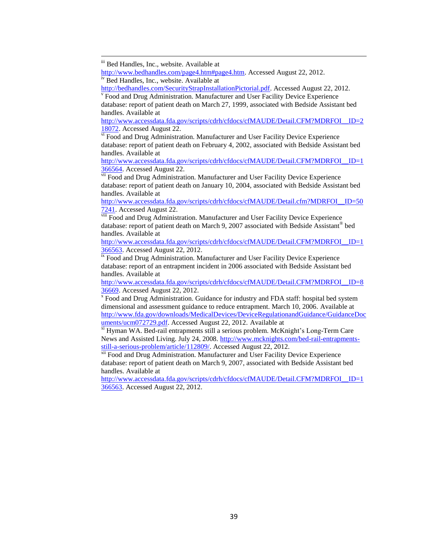$\overline{a}$ 

[http://www.accessdata.fda.gov/scripts/cdrh/cfdocs/cfMAUDE/Detail.CFM?MDRFOI\\_\\_ID=2](http://www.accessdata.fda.gov/scripts/cdrh/cfdocs/cfMAUDE/Detail.CFM?MDRFOI__ID=218072) [18072.](http://www.accessdata.fda.gov/scripts/cdrh/cfdocs/cfMAUDE/Detail.CFM?MDRFOI__ID=218072) Accessed August 22.

vi Food and Drug Administration. Manufacturer and User Facility Device Experience database: report of patient death on February 4, 2002, associated with Bedside Assistant bed handles. Available at

[http://www.accessdata.fda.gov/scripts/cdrh/cfdocs/cfMAUDE/Detail.CFM?MDRFOI\\_\\_ID=1](http://www.accessdata.fda.gov/scripts/cdrh/cfdocs/cfMAUDE/Detail.CFM?MDRFOI__ID=1366564) [366564.](http://www.accessdata.fda.gov/scripts/cdrh/cfdocs/cfMAUDE/Detail.CFM?MDRFOI__ID=1366564) Accessed August 22.

vii Food and Drug Administration. Manufacturer and User Facility Device Experience database: report of patient death on January 10, 2004, associated with Bedside Assistant bed handles. Available at

[http://www.accessdata.fda.gov/scripts/cdrh/cfdocs/cfMAUDE/Detail.cfm?MDRFOI\\_\\_ID=50](http://www.accessdata.fda.gov/scripts/cdrh/cfdocs/cfMAUDE/Detail.cfm?MDRFOI__ID=507241) [7241.](http://www.accessdata.fda.gov/scripts/cdrh/cfdocs/cfMAUDE/Detail.cfm?MDRFOI__ID=507241) Accessed August 22.

viii Food and Drug Administration. Manufacturer and User Facility Device Experience database: report of patient death on March 9, 2007 associated with Bedside Assistant® bed handles. Available at

[http://www.accessdata.fda.gov/scripts/cdrh/cfdocs/cfMAUDE/Detail.CFM?MDRFOI\\_\\_ID=1](http://www.accessdata.fda.gov/scripts/cdrh/cfdocs/cfMAUDE/Detail.CFM?MDRFOI__ID=1366563) [366563.](http://www.accessdata.fda.gov/scripts/cdrh/cfdocs/cfMAUDE/Detail.CFM?MDRFOI__ID=1366563) Accessed August 22, 2012.

<sup>ix</sup> Food and Drug Administration. Manufacturer and User Facility Device Experience database: report of an entrapment incident in 2006 associated with Bedside Assistant bed handles. Available at

[http://www.accessdata.fda.gov/scripts/cdrh/cfdocs/cfMAUDE/Detail.CFM?MDRFOI\\_\\_ID=8](http://www.accessdata.fda.gov/scripts/cdrh/cfdocs/cfMAUDE/Detail.CFM?MDRFOI__ID=836669) [36669.](http://www.accessdata.fda.gov/scripts/cdrh/cfdocs/cfMAUDE/Detail.CFM?MDRFOI__ID=836669) Accessed August 22, 2012.

<sup>x</sup> Food and Drug Administration. Guidance for industry and FDA staff: hospital bed system dimensional and assessment guidance to reduce entrapment. March 10, 2006. Available at [http://www.fda.gov/downloads/MedicalDevices/DeviceRegulationandGuidance/GuidanceDoc](http://www.fda.gov/downloads/MedicalDevices/DeviceRegulationandGuidance/GuidanceDocuments/ucm072729.pdf) [uments/ucm072729.pdf.](http://www.fda.gov/downloads/MedicalDevices/DeviceRegulationandGuidance/GuidanceDocuments/ucm072729.pdf) Accessed August 22, 2012. Available at

xi Hyman WA. Bed-rail entrapments still a serious problem. McKnight's Long-Term Care News and Assisted Living. July 24, 2008. [http://www.mcknights.com/bed-rail-entrapments](http://www.mcknights.com/bed-rail-entrapments-still-a-serious-problem/article/112809/)[still-a-serious-problem/article/112809/.](http://www.mcknights.com/bed-rail-entrapments-still-a-serious-problem/article/112809/) Accessed August 22, 2012.

<sup>xii</sup> Food and Drug Administration. Manufacturer and User Facility Device Experience database: report of patient death on March 9, 2007, associated with Bedside Assistant bed handles. Available at

[http://www.accessdata.fda.gov/scripts/cdrh/cfdocs/cfMAUDE/Detail.CFM?MDRFOI\\_\\_ID=1](http://www.accessdata.fda.gov/scripts/cdrh/cfdocs/cfMAUDE/Detail.CFM?MDRFOI__ID=1366563) [366563.](http://www.accessdata.fda.gov/scripts/cdrh/cfdocs/cfMAUDE/Detail.CFM?MDRFOI__ID=1366563) Accessed August 22, 2012.

iii Bed Handles, Inc., website. Available at

[http://www.bedhandles.com/page4.htm#page4.htm.](http://www.bedhandles.com/page4.htm#page4.htm) Accessed August 22, 2012. iv Bed Handles, Inc., website. Available at

[http://bedhandles.com/SecurityStrapInstallationPictorial.pdf.](http://bedhandles.com/SecurityStrapInstallationPictorial.pdf) Accessed August 22, 2012.

<sup>&</sup>lt;sup>v</sup> Food and Drug Administration. Manufacturer and User Facility Device Experience database: report of patient death on March 27, 1999, associated with Bedside Assistant bed handles. Available at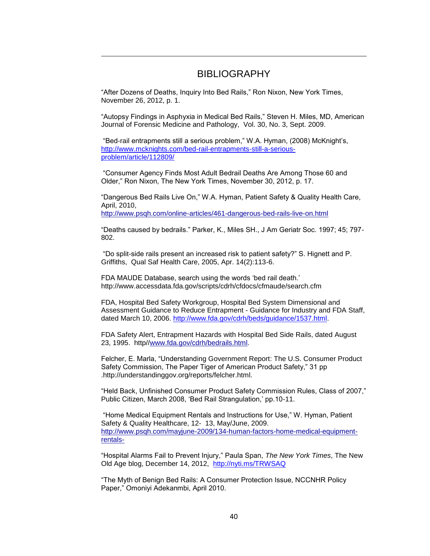# **BIBLIOGRAPHY**

"After Dozens of Deaths, Inquiry Into Bed Rails," Ron Nixon, New York Times, November 26, 2012, p. 1.

 $\overline{a}$ 

"Autopsy Findings in Asphyxia in Medical Bed Rails," Steven H. Miles, MD, American Journal of Forensic Medicine and Pathology, Vol. 30, No. 3, Sept. 2009.

―Bed-rail entrapments still a serious problem,‖ W.A. Hyman, (2008) McKnight's, [http://www.mcknights.com/bed-rail-entrapments-still-a-serious](http://www.mcknights.com/bed-rail-entrapments-still-a-serious-problem/article/112809/)[problem/article/112809/](http://www.mcknights.com/bed-rail-entrapments-still-a-serious-problem/article/112809/)

―Consumer Agency Finds Most Adult Bedrail Deaths Are Among Those 60 and Older," Ron Nixon, The New York Times, November 30, 2012, p. 17.

"Dangerous Bed Rails Live On," W.A. Hyman, Patient Safety & Quality Health Care, April, 2010,

<http://www.psqh.com/online-articles/461-dangerous-bed-rails-live-on.html>

―Deaths caused by bedrails.‖ Parker, K., Miles SH., J Am Geriatr Soc. 1997; 45; 797- 802.

―Do split-side rails present an increased risk to patient safety?‖ S. Hignett and P. Griffiths, Qual Saf Health Care, 2005, Apr. 14(2):113-6.

FDA MAUDE Database, search using the words 'bed rail death.' http://www.accessdata.fda.gov/scripts/cdrh/cfdocs/cfmaude/search.cfm

FDA, Hospital Bed Safety Workgroup, Hospital Bed System Dimensional and Assessment Guidance to Reduce Entrapment - Guidance for Industry and FDA Staff, dated March 10, 2006. [http://www.fda.gov/cdrh/beds/guidance/1537.html.](http://www.fda.gov/cdrh/beds/guidance/1537.html)

FDA Safety Alert, Entrapment Hazards with Hospital Bed Side Rails, dated August 23, 1995. http/[/www.fda.gov/cdrh/bedrails.html.](http://www.fda.gov/cdrh/bedrails.html)

Felcher, E. Marla, "Understanding Government Report: The U.S. Consumer Product Safety Commission, The Paper Tiger of American Product Safety," 31 pp .http://understandinggov.org/reports/felcher.html.

"Held Back, Unfinished Consumer Product Safety Commission Rules, Class of 2007," Public Citizen, March 2008, 'Bed Rail Strangulation,' pp.10-11.

"Home Medical Equipment Rentals and Instructions for Use," W. Hyman, Patient Safety & Quality Healthcare, 12- 13, May/June, 2009. [http://www.psqh.com/mayjune-2009/134-human-factors-home-medical-equipment](http://www.psqh.com/mayjune-2009/134-human-factors-home-medical-equipment-rentals-)[rentals-](http://www.psqh.com/mayjune-2009/134-human-factors-home-medical-equipment-rentals-)

―Hospital Alarms Fail to Prevent Injury,‖ Paula Span, *The New York Times*, The New Old Age blog, December 14, 2012, <http://nyti.ms/TRWSAQ>

"The Myth of Benign Bed Rails: A Consumer Protection Issue, NCCNHR Policy Paper," Omoniyi Adekanmbi, April 2010.